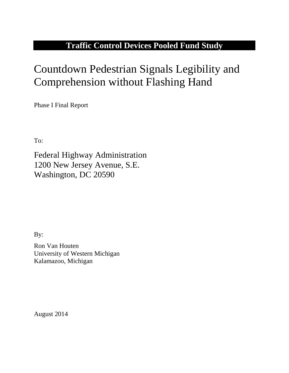# **Traffic Control Devices Pooled Fund Study**

# Countdown Pedestrian Signals Legibility and Comprehension without Flashing Hand

Phase I Final Report

To:

Federal Highway Administration 1200 New Jersey Avenue, S.E. Washington, DC 20590

By:

Ron Van Houten University of Western Michigan Kalamazoo, Michigan

August 2014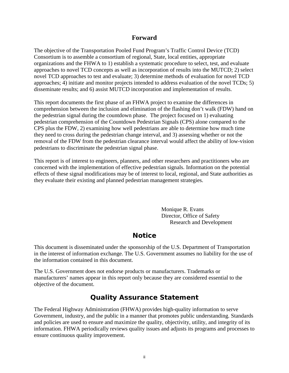#### **Forward**

The objective of the Transportation Pooled Fund Program's Traffic Control Device (TCD) Consortium is to assemble a consortium of regional, State, local entities, appropriate organizations and the FHWA to 1) establish a systematic procedure to select, test, and evaluate approaches to novel TCD concepts as well as incorporation of results into the MUTCD; 2) select novel TCD approaches to test and evaluate; 3) determine methods of evaluation for novel TCD approaches; 4) initiate and monitor projects intended to address evaluation of the novel TCDs; 5) disseminate results; and 6) assist MUTCD incorporation and implementation of results.

This report documents the first phase of an FHWA project to examine the differences in comprehension between the inclusion and elimination of the flashing don't walk (FDW) hand on the pedestrian signal during the countdown phase. The project focused on 1) evaluating pedestrian comprehension of the Countdown Pedestrian Signals (CPS) alone compared to the CPS plus the FDW, 2) examining how well pedestrians are able to determine how much time they need to cross during the pedestrian change interval, and 3) assessing whether or not the removal of the FDW from the pedestrian clearance interval would affect the ability of low-vision pedestrians to discriminate the pedestrian signal phase.

This report is of interest to engineers, planners, and other researchers and practitioners who are concerned with the implementation of effective pedestrian signals. Information on the potential effects of these signal modifications may be of interest to local, regional, and State authorities as they evaluate their existing and planned pedestrian management strategies.

> Monique R. Evans Director, Office of Safety Research and Development

# **Notice**

This document is disseminated under the sponsorship of the U.S. Department of Transportation in the interest of information exchange. The U.S. Government assumes no liability for the use of the information contained in this document.

The U.S. Government does not endorse products or manufacturers. Trademarks or manufacturers' names appear in this report only because they are considered essential to the objective of the document.

# **Quality Assurance Statement**

The Federal Highway Administration (FHWA) provides high-quality information to serve Government, industry, and the public in a manner that promotes public understanding. Standards and policies are used to ensure and maximize the quality, objectivity, utility, and integrity of its information. FHWA periodically reviews quality issues and adjusts its programs and processes to ensure continuous quality improvement.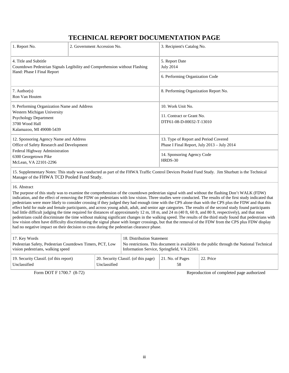## **TECHNICAL REPORT DOCUMENTATION PAGE**

| 1. Report No.                                                                                                                                                          | 2. Government Accession No. | 3. Recipient's Catalog No.                                                                                                    |  |  |
|------------------------------------------------------------------------------------------------------------------------------------------------------------------------|-----------------------------|-------------------------------------------------------------------------------------------------------------------------------|--|--|
| 4. Title and Subtitle<br>Countdown Pedestrian Signals Legibility and Comprehension without Flashing<br>Hand: Phase I Final Report                                      |                             | 5. Report Date<br><b>July 2014</b>                                                                                            |  |  |
|                                                                                                                                                                        |                             | 6. Performing Organization Code                                                                                               |  |  |
| $7.$ Author(s)<br>Ron Van Houten                                                                                                                                       |                             | 8. Performing Organization Report No.                                                                                         |  |  |
| 9. Performing Organization Name and Address<br>Western Michigan University<br><b>Psychology Department</b><br>3700 Wood Hall<br>Kalamazoo, MI 49008-5439               |                             | 10. Work Unit No.<br>11. Contract or Grant No.<br>DTF61-08-D-00032-T-13010                                                    |  |  |
| 12. Sponsoring Agency Name and Address<br>Office of Safety Research and Development<br>Federal Highway Administration<br>6300 Georgetown Pike<br>McLean, VA 22101-2296 |                             | 13. Type of Report and Period Covered<br>Phase I Final Report, July 2013 – July 2014<br>14. Sponsoring Agency Code<br>HRDS-30 |  |  |

15. Supplementary Notes: This study was conducted as part of the FHWA Traffic Control Devices Pooled Fund Study. Jim Shurbutt is the Technical Manager of the FHWA TCD Pooled Fund Study.

#### 16. Abstract

The purpose of this study was to examine the comprehension of the countdown pedestrian signal with and without the flashing Don't WALK (FDW) indication, and the effect of removing the FDW on pedestrians with low vision. Three studies were conducted. The results of the first study indicated that pedestrians were more likely to consider crossing if they judged they had enough time with the CPS alone than with the CPS plus the FDW and that this effect held for male and female participants, and across young adult, adult, and senior age categories. The results of the second study found participants had little difficult judging the time required for distances of approximately 12 m, 18 m, and 24 m (40 ft, 60 ft, and 80 ft, respectively), and that most pedestrians could discriminate the time without making significant changes in the walking speed. The results of the third study found that pedestrians with low vision often have difficulty discriminating the signal phase with longer crossings, but that the removal of the FDW from the CPS plus FDW display had no negative impact on their decision to cross during the pedestrian clearance phase.

| 17. Key Words                                            |                                                      | 18. Distribution Statement                                                               |                          |           |
|----------------------------------------------------------|------------------------------------------------------|------------------------------------------------------------------------------------------|--------------------------|-----------|
| Pedestrian Safety, Pedestrian Countdown Timers, PCT, Low |                                                      | No restrictions. This document is available to the public through the National Technical |                          |           |
| vision pedestrians, walking speed                        |                                                      | Information Service, Springfield, VA 22161.                                              |                          |           |
| 19. Security Classif. (of this report)<br>Unclassified   | 20. Security Classif. (of this page)<br>Unclassified |                                                                                          | $\vert$ 21. No. of Pages | 22. Price |

Form DOT F 1700.7 (8-72) Reproduction of completed page authorized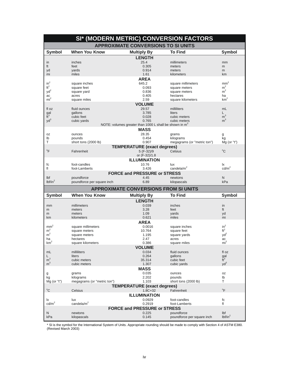|                       |                              | SI* (MODERN METRIC) CONVERSION FACTORS                             |                             |                                  |
|-----------------------|------------------------------|--------------------------------------------------------------------|-----------------------------|----------------------------------|
|                       |                              | <b>APPROXIMATE CONVERSIONS TO SI UNITS</b>                         |                             |                                  |
| <b>Symbol</b>         | <b>When You Know</b>         | <b>Multiply By</b>                                                 | <b>To Find</b>              | <b>Symbol</b>                    |
|                       |                              | <b>LENGTH</b>                                                      |                             |                                  |
| in                    | inches                       | 25.4                                                               | millimeters                 | mm                               |
| ft                    | feet                         | 0.305                                                              | meters                      | m                                |
| yd                    | yards                        | 0.914                                                              | meters                      | m                                |
| mi                    | miles                        | 1.61                                                               | kilometers                  | km                               |
|                       |                              | <b>AREA</b>                                                        |                             |                                  |
| $in^2$                | square inches                | 645.2                                                              | square millimeters          | $\text{mm}^2$                    |
| $ft^2$                | square feet                  | 0.093                                                              | square meters               | m <sup>2</sup><br>m <sup>2</sup> |
| yd <sup>2</sup><br>ac | square yard<br>acres         | 0.836<br>0.405                                                     | square meters<br>hectares   | ha                               |
| $mi^2$                | square miles                 | 2.59                                                               | square kilometers           | km <sup>2</sup>                  |
|                       |                              | <b>VOLUME</b>                                                      |                             |                                  |
| fl oz                 | fluid ounces                 | 29.57                                                              | milliliters                 | mL                               |
| gal                   | gallons                      | 3.785                                                              | liters                      |                                  |
| $\tilde{t}^3$         | cubic feet                   | 0.028                                                              | cubic meters                | m <sup>3</sup>                   |
| $yd^3$                | cubic yards                  | 0.765                                                              | cubic meters                | m <sup>3</sup>                   |
|                       |                              | NOTE: volumes greater than 1000 L shall be shown in m <sup>3</sup> |                             |                                  |
|                       |                              | <b>MASS</b>                                                        |                             |                                  |
| 0Z                    | ounces                       | 28.35                                                              | grams                       | g                                |
| lb                    | pounds                       | 0.454                                                              | kilograms                   | kg                               |
| т                     | short tons (2000 lb)         | 0.907                                                              | megagrams (or "metric ton") | $Mg$ (or "t")                    |
|                       |                              | <b>TEMPERATURE (exact degrees)</b>                                 |                             |                                  |
| $\mathrm{P}$          | Fahrenheit                   | 5 (F-32)/9                                                         | Celsius                     | $^{\circ}C$                      |
|                       |                              | or (F-32)/1.8                                                      |                             |                                  |
|                       |                              | <b>ILLUMINATION</b>                                                |                             |                                  |
| fc                    | foot-candles                 | 10.76                                                              | lux                         | lχ                               |
| fl                    | foot-Lamberts                | 3.426                                                              | candela/m <sup>2</sup>      | $\text{cd/m}^2$                  |
|                       |                              | <b>FORCE and PRESSURE or STRESS</b>                                |                             |                                  |
|                       |                              |                                                                    |                             |                                  |
| Ibf                   | poundforce                   | 4.45                                                               | newtons                     | N                                |
| lbf/in <sup>2</sup>   | poundforce per square inch   | 6.89                                                               | kilopascals                 | kPa                              |
|                       |                              |                                                                    |                             |                                  |
|                       | <b>When You Know</b>         | <b>APPROXIMATE CONVERSIONS FROM SI UNITS</b>                       | <b>To Find</b>              |                                  |
| <b>Symbol</b>         |                              | <b>Multiply By</b>                                                 |                             | Symbol                           |
|                       |                              | <b>LENGTH</b>                                                      |                             |                                  |
| mm<br>m               | millimeters<br>meters        | 0.039<br>3.28                                                      | inches<br>feet              | in<br>ft                         |
| m                     | meters                       | 1.09                                                               | yards                       | yd                               |
| km                    | kilometers                   | 0.621                                                              | miles                       | mi                               |
|                       |                              | <b>AREA</b>                                                        |                             |                                  |
| mm                    | square millimeters           | 0.0016                                                             | square inches               | $in^2$                           |
| m <sup>2</sup>        | square meters                | 10.764                                                             | square feet                 | $ft^2$                           |
| m <sup>2</sup>        | square meters                | 1.195                                                              | square yards                | $yd^2$                           |
| ha                    | hectares                     | 2.47                                                               | acres                       | ac                               |
| $\mbox{km}^2$         | square kilometers            | 0.386                                                              | square miles                | mi <sup>2</sup>                  |
|                       |                              | <b>VOLUME</b>                                                      |                             |                                  |
| mL                    | milliliters                  | 0.034                                                              | fluid ounces                | fl oz                            |
| L                     | liters                       | 0.264                                                              | gallons                     | gal                              |
| $\rm m^3$             | cubic meters<br>cubic meters | 35.314                                                             | cubic feet                  | $\tilde{t}^3$                    |
| m <sup>3</sup>        |                              | 1.307                                                              | cubic yards                 | $yd^3$                           |
|                       |                              | MASS                                                               |                             |                                  |
| g                     | grams<br>kilograms           | 0.035<br>2.202                                                     | ounces<br>pounds            | 0Z<br>lb                         |
| kg<br>$Mg$ (or "t")   | megagrams (or "metric ton")  | 1.103                                                              | short tons (2000 lb)        | Τ                                |
|                       |                              |                                                                    |                             |                                  |
| $^{\circ}$ C          | Celsius                      | <b>TEMPERATURE</b> (exact degrees)<br>$1.8C + 32$                  | Fahrenheit                  | $\mathrm{P}^{\circ}$             |
|                       |                              | <b>ILLUMINATION</b>                                                |                             |                                  |
| lχ                    | lux                          | 0.0929                                                             | foot-candles                | fc                               |
| $\text{cd/m}^2$       | candela/ $m2$                | 0.2919                                                             | foot-Lamberts               | fl                               |
|                       |                              | <b>FORCE and PRESSURE or STRESS</b>                                |                             |                                  |
| N                     | newtons                      | 0.225                                                              | poundforce                  | Ibf<br>lbf/in <sup>2</sup>       |

\* SI is the symbol for the International System of Units. Appropriate rounding should be made to comply with Section 4 of ASTM E380. (Revised March 2003)  $\cdot$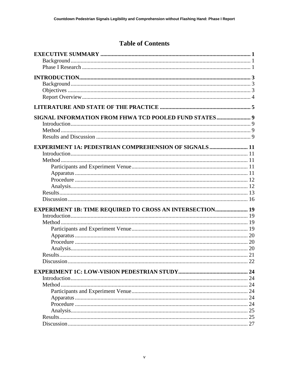# **Table of Contents**

| SIGNAL INFORMATION FROM FHWA TCD POOLED FUND STATES 9        |    |
|--------------------------------------------------------------|----|
|                                                              |    |
|                                                              |    |
|                                                              |    |
| <b>EXPERIMENT 1A: PEDESTRIAN COMPREHENSION OF SIGNALS 11</b> |    |
|                                                              |    |
|                                                              |    |
|                                                              |    |
|                                                              |    |
|                                                              |    |
|                                                              |    |
|                                                              |    |
|                                                              |    |
| EXPERIMENT 1B: TIME REQUIRED TO CROSS AN INTERSECTION 19     |    |
|                                                              |    |
|                                                              |    |
|                                                              |    |
|                                                              |    |
|                                                              |    |
|                                                              |    |
|                                                              |    |
| Discussion                                                   | 22 |
|                                                              | 24 |
|                                                              |    |
|                                                              |    |
|                                                              |    |
|                                                              |    |
|                                                              | 24 |
|                                                              | 25 |
|                                                              |    |
|                                                              |    |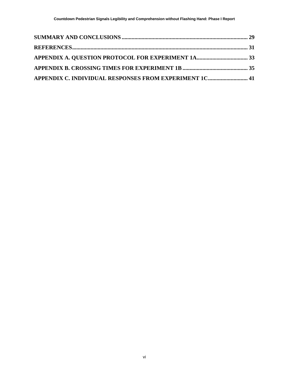| APPENDIX C. INDIVIDUAL RESPONSES FROM EXPERIMENT 1C 41 |  |
|--------------------------------------------------------|--|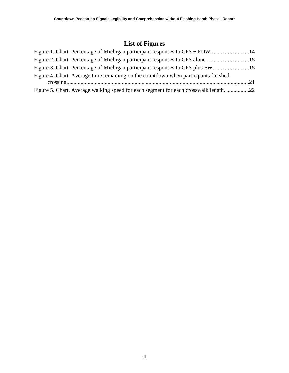# **List of Figures**

| Figure 1. Chart. Percentage of Michigan participant responses to CPS + FDW14          |  |
|---------------------------------------------------------------------------------------|--|
| Figure 2. Chart. Percentage of Michigan participant responses to CPS alone. 15        |  |
| Figure 3. Chart. Percentage of Michigan participant responses to CPS plus FW. 15      |  |
| Figure 4. Chart. Average time remaining on the countdown when participants finished   |  |
|                                                                                       |  |
| Figure 5. Chart. Average walking speed for each segment for each crosswalk length. 22 |  |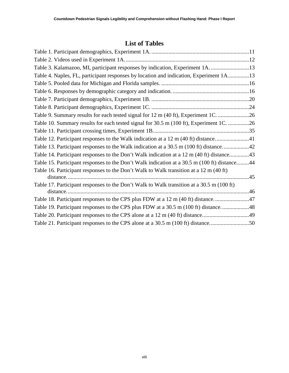# **List of Tables**

| Table 3. Kalamazoo, MI, participant responses by indication, Experiment 1A. 13               |  |
|----------------------------------------------------------------------------------------------|--|
| Table 4. Naples, FL, participant responses by location and indication, Experiment 1A13       |  |
|                                                                                              |  |
|                                                                                              |  |
|                                                                                              |  |
|                                                                                              |  |
| Table 9. Summary results for each tested signal for 12 m (40 ft), Experiment 1C. 26          |  |
| Table 10. Summary results for each tested signal for 30.5 m (100 ft), Experiment 1C. 26      |  |
|                                                                                              |  |
| Table 12. Participant responses to the Walk indication at a 12 m (40 ft) distance41          |  |
| Table 13. Participant responses to the Walk indication at a 30.5 m (100 ft) distance42       |  |
| Table 14. Participant responses to the Don't Walk indication at a 12 m (40 ft) distance43    |  |
| Table 15. Participant responses to the Don't Walk indication at a 30.5 m (100 ft) distance44 |  |
| Table 16. Participant responses to the Don't Walk to Walk transition at a 12 m (40 ft)       |  |
| Table 17. Participant responses to the Don't Walk to Walk transition at a 30.5 m (100 ft)    |  |
| Table 18. Participant responses to the CPS plus FDW at a 12 m (40 ft) distance47             |  |
| Table 19. Participant responses to the CPS plus FDW at a 30.5 m (100 ft) distance48          |  |
| Table 20. Participant responses to the CPS alone at a 12 m (40 ft) distance49                |  |
| Table 21. Participant responses to the CPS alone at a 30.5 m (100 ft) distance50             |  |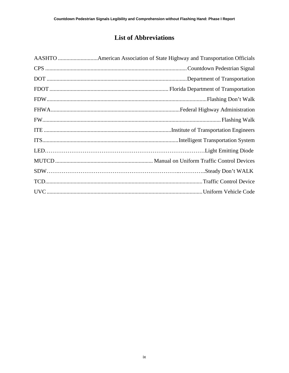# **List of Abbreviations**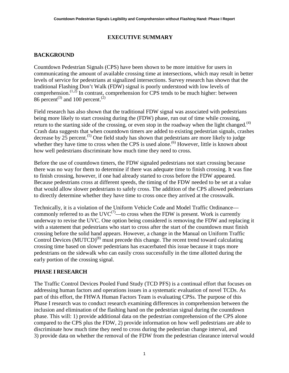#### **EXECUTIVE SUMMARY**

#### <span id="page-10-1"></span><span id="page-10-0"></span>**BACKGROUND**

Countdown Pedestrian Signals (CPS) have been shown to be more intuitive for users in communicating the amount of available crossing time at intersections, which may result in better levels of service for pedestrians at signalized intersections. Survey research has shown that the traditional Flashing Don't Walk (FDW) signal is poorly understood with low levels of comprehension.  $(1,2)$  In contrast, comprehension for CPS tends to be much higher: between 86 percent<sup>(3)</sup> and 100 percent.<sup>(2)</sup>

Field research has also shown that the traditional FDW signal was associated with pedestrians being more likely to start crossing during the (FDW) phase, run out of time while crossing, return to the starting side of the crossing, or even stop in the roadway when the light changed.<sup>(4)</sup> Crash data suggests that when countdown timers are added to existing pedestrian signals, crashes decrease by 25 percent.<sup>(5)</sup> One field study has shown that pedestrians are more likely to judge whether they have time to cross when the CPS is used alone.<sup>(6)</sup> However, little is known about how well pedestrians discriminate how much time they need to cross.

Before the use of countdown timers, the FDW signaled pedestrians not start crossing because there was no way for them to determine if there was adequate time to finish crossing. It was fine to finish crossing, however, if one had already started to cross before the FDW appeared. Because pedestrians cross at different speeds, the timing of the FDW needed to be set at a value that would allow slower pedestrians to safely cross. The addition of the CPS allowed pedestrians to directly determine whether they have time to cross once they arrived at the crosswalk.

Technically, it is a violation of the Uniform Vehicle Code and Model Traffic Ordinance commonly referred to as the  $\text{UVC}^{(7)}$ —to cross when the FDW is present. Work is currently underway to revise the UVC. One option being considered is removing the FDW and replacing it with a statement that pedestrians who start to cross after the start of the countdown must finish crossing before the solid hand appears. However, a change in the Manual on Uniform Traffic Control Devices (MUTCD)<sup>(8)</sup> must precede this change. The recent trend toward calculating crossing time based on slower pedestrians has exacerbated this issue because it traps more pedestrians on the sidewalk who can easily cross successfully in the time allotted during the early portion of the crossing signal.

#### <span id="page-10-2"></span>**PHASE I RESEARCH**

The Traffic Control Devices Pooled Fund Study (TCD PFS) is a continual effort that focuses on addressing human factors and operations issues in a systematic evaluation of novel TCDs. As part of this effort, the FHWA Human Factors Team is evaluating CPSs. The purpose of this Phase I research was to conduct research examining differences in comprehension between the inclusion and elimination of the flashing hand on the pedestrian signal during the countdown phase. This will: 1) provide additional data on the pedestrian comprehension of the CPS alone compared to the CPS plus the FDW, 2) provide information on how well pedestrians are able to discriminate how much time they need to cross during the pedestrian change interval, and 3) provide data on whether the removal of the FDW from the pedestrian clearance interval would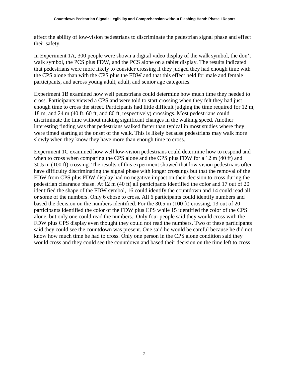affect the ability of low-vision pedestrians to discriminate the pedestrian signal phase and effect their safety.

In Experiment 1A, 300 people were shown a digital video display of the walk symbol, the don't walk symbol, the PCS plus FDW, and the PCS alone on a tablet display. The results indicated that pedestrians were more likely to consider crossing if they judged they had enough time with the CPS alone than with the CPS plus the FDW and that this effect held for male and female participants, and across young adult, adult, and senior age categories.

Experiment 1B examined how well pedestrians could determine how much time they needed to cross. Participants viewed a CPS and were told to start crossing when they felt they had just enough time to cross the street. Participants had little difficult judging the time required for 12 m, 18 m, and 24 m (40 ft, 60 ft, and 80 ft, respectively) crossings. Most pedestrians could discriminate the time without making significant changes in the walking speed. Another interesting finding was that pedestrians walked faster than typical in most studies where they were timed starting at the onset of the walk. This is likely because pedestrians may walk more slowly when they know they have more than enough time to cross.

Experiment 1C examined how well low-vision pedestrians could determine how to respond and when to cross when comparing the CPS alone and the CPS plus FDW for a 12 m (40 ft) and 30.5 m (100 ft) crossing. The results of this experiment showed that low vision pedestrians often have difficulty discriminating the signal phase with longer crossings but that the removal of the FDW from CPS plus FDW display had no negative impact on their decision to cross during the pedestrian clearance phase. At 12 m (40 ft) all participants identified the color and 17 out of 20 identified the shape of the FDW symbol, 16 could identify the countdown and 14 could read all or some of the numbers. Only 6 chose to cross. All 6 participants could identify numbers and based the decision on the numbers identified. For the 30.5 m (100 ft) crossing, 13 out of 20 participants identified the color of the FDW plus CPS while 15 identified the color of the CPS alone, but only one could read the numbers. Only four people said they would cross with the FDW plus CPS display even thought they could not read the numbers. Two of these participants said they could see the countdown was present. One said he would be careful because he did not know how much time he had to cross. Only one person in the CPS alone condition said they would cross and they could see the countdown and based their decision on the time left to cross.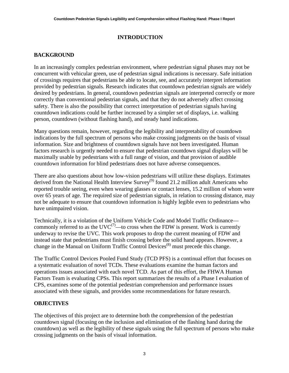#### **INTRODUCTION**

#### <span id="page-12-1"></span><span id="page-12-0"></span>**BACKGROUND**

In an increasingly complex pedestrian environment, where pedestrian signal phases may not be concurrent with vehicular green, use of pedestrian signal indications is necessary. Safe initiation of crossings requires that pedestrians be able to locate, see, and accurately interpret information provided by pedestrian signals. Research indicates that countdown pedestrian signals are widely desired by pedestrians. In general, countdown pedestrian signals are interpreted correctly or more correctly than conventional pedestrian signals, and that they do not adversely affect crossing safety. There is also the possibility that correct interpretation of pedestrian signals having countdown indications could be further increased by a simpler set of displays, i.e. walking person, countdown (without flashing hand), and steady hand indications.

Many questions remain, however, regarding the legibility and interpretability of countdown indications by the full spectrum of persons who make crossing judgments on the basis of visual information. Size and brightness of countdown signals have not been investigated. Human factors research is urgently needed to ensure that pedestrian countdown signal displays will be maximally usable by pedestrians with a full range of vision, and that provision of audible countdown information for blind pedestrians does not have adverse consequences.

There are also questions about how low-vision pedestrians will utilize these displays. Estimates derived from the National Health Interview Survey<sup>(9)</sup> found 21.2 million adult Americans who reported trouble seeing, even when wearing glasses or contact lenses, 15.2 million of whom were over 65 years of age. The required size of pedestrian signals, in relation to crossing distance, may not be adequate to ensure that countdown information is highly legible even to pedestrians who have unimpaired vision.

Technically, it is a violation of the Uniform Vehicle Code and Model Traffic Ordinance commonly referred to as the  $\text{UVC}^{(7)}$ —to cross when the FDW is present. Work is currently underway to revise the UVC. This work proposes to drop the current meaning of FDW and instead state that pedestrians must finish crossing before the solid hand appears. However, a change in the Manual on Uniform Traffic Control Devices<sup>(8)</sup> must precede this change.

The Traffic Control Devices Pooled Fund Study (TCD PFS) is a continual effort that focuses on a systematic evaluation of novel TCDs. These evaluations examine the human factors and operations issues associated with each novel TCD. As part of this effort, the FHWA Human Factors Team is evaluating CPSs. This report summarizes the results of a Phase I evaluation of CPS, examines some of the potential pedestrian comprehension and performance issues associated with these signals, and provides some recommendations for future research.

#### <span id="page-12-2"></span>**OBJECTIVES**

The objectives of this project are to determine both the comprehension of the pedestrian countdown signal (focusing on the inclusion and elimination of the flashing hand during the countdown) as well as the legibility of these signals using the full spectrum of persons who make crossing judgments on the basis of visual information.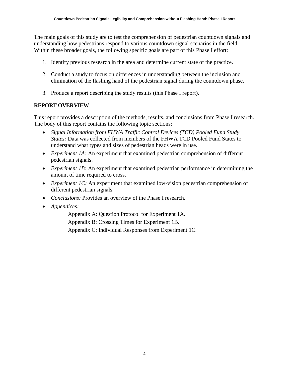The main goals of this study are to test the comprehension of pedestrian countdown signals and understanding how pedestrians respond to various countdown signal scenarios in the field. Within these broader goals, the following specific goals are part of this Phase I effort:

- 1. Identify previous research in the area and determine current state of the practice.
- 2. Conduct a study to focus on differences in understanding between the inclusion and elimination of the flashing hand of the pedestrian signal during the countdown phase.
- 3. Produce a report describing the study results (this Phase I report).

#### <span id="page-13-0"></span>**REPORT OVERVIEW**

This report provides a description of the methods, results, and conclusions from Phase I research. The body of this report contains the following topic sections:

- *Signal Information from FHWA Traffic Control Devices (TCD) Pooled Fund Study States:* Data was collected from members of the FHWA TCD Pooled Fund States to understand what types and sizes of pedestrian heads were in use.
- *Experiment 1A:* An experiment that examined pedestrian comprehension of different pedestrian signals.
- *Experiment 1B:* An experiment that examined pedestrian performance in determining the amount of time required to cross.
- *Experiment 1C:* An experiment that examined low-vision pedestrian comprehension of different pedestrian signals.
- *Conclusions:* Provides an overview of the Phase I research.
- *Appendices:*
	- − Appendix A: Question Protocol for Experiment 1A.
	- − Appendix B: Crossing Times for Experiment 1B.
	- − Appendix C: Individual Responses from Experiment 1C.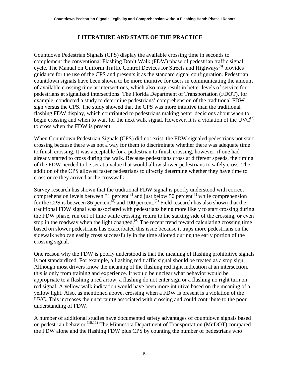#### **LITERATURE AND STATE OF THE PRACTICE**

<span id="page-14-0"></span>Countdown Pedestrian Signals (CPS) display the available crossing time in seconds to complement the conventional Flashing Don't Walk (FDW) phase of pedestrian traffic signal cycle. The Manual on Uniform Traffic Control Devices for Streets and Highways<sup>(8)</sup> provides guidance for the use of the CPS and presents it as the standard signal configuration. Pedestrian countdown signals have been shown to be more intuitive for users in communicating the amount of available crossing time at intersections, which also may result in better levels of service for pedestrians at signalized intersections. The Florida Department of Transportation (FDOT), for example, conducted a study to determine pedestrians' comprehension of the traditional FDW sign versus the CPS. The study showed that the CPS was more intuitive than the traditional flashing FDW display, which contributed to pedestrians making better decisions about when to begin crossing and when to wait for the next walk signal. However, it is a violation of the  $UVC^{(7)}$ to cross when the FDW is present.

When Countdown Pedestrian Signals (CPS) did not exist, the FDW signaled pedestrians not start crossing because there was not a way for them to discriminate whether there was adequate time to finish crossing. It was acceptable for a pedestrian to finish crossing, however, if one had already started to cross during the walk. Because pedestrians cross at different speeds, the timing of the FDW needed to be set at a value that would allow slower pedestrians to safely cross. The addition of the CPS allowed faster pedestrians to directly determine whether they have time to cross once they arrived at the crosswalk.

Survey research has shown that the traditional FDW signal is poorly understood with correct comprehension levels between 31 percent<sup>(2)</sup> and just below 50 percent<sup>(1)</sup> while comprehension for the CPS is between 86 percent<sup>(3)</sup> and 100 percent.<sup>(2)</sup> Field research has also shown that the traditional FDW signal was associated with pedestrians being more likely to start crossing during the FDW phase, run out of time while crossing, return to the starting side of the crossing, or even stop in the roadway when the light changed. $^{(4)}$  The recent trend toward calculating crossing time based on slower pedestrians has exacerbated this issue because it traps more pedestrians on the sidewalk who can easily cross successfully in the time allotted during the early portion of the crossing signal.

One reason why the FDW is poorly understood is that the meaning of flashing prohibitive signals is not standardized. For example, a flashing red traffic signal should be treated as a stop sign. Although most drivers know the meaning of the flashing red light indication at an intersection, this is only from training and experience. It would be unclear what behavior would be appropriate to a flashing a red arrow, a flashing do not enter sign or a flashing no right turn on red signal. A yellow walk indication would have been more intuitive based on the meaning of a yellow light. Also, as mentioned above, crossing when a FDW is present is a violation of the UVC. This increases the uncertainty associated with crossing and could contribute to the poor understanding of FDW.

A number of additional studies have documented safety advantages of countdown signals based on pedestrian behavior.<sup>(10,11)</sup> The Minnesota Department of Transportation (MnDOT) compared the FDW alone and the flashing FDW plus CPS by counting the number of pedestrians who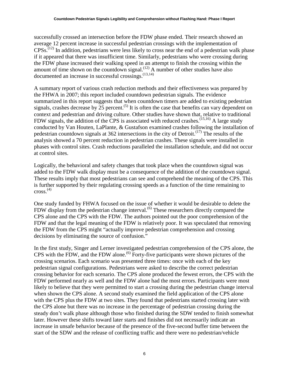successfully crossed an intersection before the FDW phase ended. Their research showed an average 12 percent increase in successful pedestrian crossings with the implementation of  $CPSs$ .<sup> $(12)$ </sup> In addition, pedestrians were less likely to cross near the end of a pedestrian walk phase if it appeared that there was insufficient time. Similarly, pedestrians who were crossing during the FDW phase increased their walking speed in an attempt to finish the crossing within the amount of time shown on the countdown signal.<sup> $(12)$ </sup> A number of other studies have also documented an increase in successful crossings. (13,14)

A summary report of various crash reduction methods and their effectiveness was prepared by the FHWA in 2007; this report included countdown pedestrian signals. The evidence summarized in this report suggests that when countdown timers are added to existing pedestrian signals, crashes decrease by  $\overline{25}$  percent.<sup>(5)</sup> It is often the case that benefits can vary dependent on context and pedestrian and driving culture. Other studies have shown that, relative to traditional FDW signals, the addition of the CPS is associated with reduced crashes.  $(15,16)$  A large study conducted by Van Houten, LaPlante, & Gustafson examined crashes following the installation of pedestrian countdown signals at 362 intersections in the city of Detroit.<sup> $(17)$ </sup> The results of the analysis showed a 70 percent reduction in pedestrian crashes. These signals were installed in phases with control sites. Crash reductions paralleled the installation schedule, and did not occur at control sites.

Logically, the behavioral and safety changes that took place when the countdown signal was added to the FDW walk display must be a consequence of the addition of the countdown signal. These results imply that most pedestrians can see and comprehend the meaning of the CPS. This is further supported by their regulating crossing speeds as a function of the time remaining to cross. $(4)$ 

One study funded by FHWA focused on the issue of whether it would be desirable to delete the FDW display from the pedestrian change interval.<sup>(6)</sup> These researchers directly compared the CPS alone and the CPS with the FDW. The authors pointed out the poor comprehension of the FDW and that the legal meaning of the FDW is relatively poor. It was speculated that removing the FDW from the CPS might "actually improve pedestrian comprehension and crossing decisions by eliminating the source of confusion."

In the first study, Singer and Lerner investigated pedestrian comprehension of the CPS alone, the CPS with the FDW, and the FDW alone.<sup> $(6)$ </sup> Forty-five participants were shown pictures of the crossing scenarios. Each scenario was presented three times: once with each of the key pedestrian signal configurations. Pedestrians were asked to describe the correct pedestrian crossing behavior for each scenario. The CPS alone produced the fewest errors, the CPS with the FDW performed nearly as well and the FDW alone had the most errors. Participants were most likely to believe that they were permitted to start a crossing during the pedestrian change interval when shown the CPS alone. A second study examined the field application of the CPS alone with the CPS plus the FDW at two sites. They found that pedestrians started crossing later with the CPS alone but there was no increase in the percentage of pedestrian crossing during the steady don't walk phase although those who finished during the SDW tended to finish somewhat later. However these shifts toward later starts and finishes did not necessarily indicate an increase in unsafe behavior because of the presence of the five-second buffer time between the start of the SDW and the release of conflicting traffic and there were no pedestrian/vehicle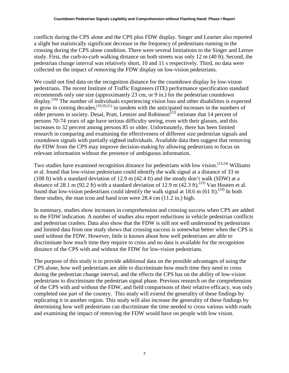conflicts during the CPS alone and the CPS plus FDW display. Singer and Learner also reported a slight but statistically significant decrease in the frequency of pedestrians running in the crossing during the CPS alone condition. There were several limitations to the Singer and Lerner study. First, the curb-to-curb walking distance on both streets was only 12 m (40 ft). Second, the pedestrian change interval was relatively short, 10 and 11 s respectively. Third, no data were collected on the impact of removing the FDW display on low-vision pedestrians.

We could not find data on the recognition distance for the countdown display by low-vision pedestrians. The recent Institute of Traffic Engineers (ITE) performance specification standard recommends only one size (approximately 23 cm, or 9 in.) for the pedestrian countdown display.<sup>(18)</sup> The number of individuals experiencing vision loss and other disabilities is expected to grow in coming decades,  $(19,20,21)$  in tandem with the anticipated increases in the numbers of older persons in society. Desai, Pratt, Lentzer and Robinson<sup> $(22)$ </sup> estimate that 14 percent of persons 70-74 years of age have serious difficulty seeing, even with their glasses, and this increases to 32 percent among persons 85 or older. Unfortunately, there has been limited research in comparing and examining the effectiveness of different size pedestrian signals and countdown signals with partially sighted individuals. Available data then suggest that removing the FDW from the CPS may improve decision-making by allowing pedestrians to focus on relevant information without the presence of ambiguous information.

Two studies have examined recognition distance for pedestrians with low vision.<sup>(23,24)</sup> Williams et al. found that low-vision pedestrians could identify the walk signal at a distance of 33 m (108 ft) with a standard deviation of 12.9 m (42.4 ft) and the steady don't walk (SDW) at a distance of 28.1 m (92.2 ft) with a standard deviation of 12.9 m (42.3 ft).<sup>(23)</sup> Van Houten et al. found that low-vision pedestrians could identify the walk signal at  $18.6$  m  $(61 \text{ ft})$ .<sup>(24)</sup> In both these studies, the man icon and hand icon were 28.4 cm (11.2 in.) high.

In summary, studies show increases in comprehension and crossing success when CPS are added to the FDW indication. A number of studies also report reductions in vehicle pedestrian conflicts and pedestrian crashes. Data also show that the FDW is still not well understood by pedestrians and limited data from one study shows that crossing success is somewhat better when the CPS is used without the FDW. However, little is known about how well pedestrians are able to discriminate how much time they require to cross and no data is available for the recognition distance of the CPS with and without the FDW for low-vision pedestrians.

The purpose of this study is to provide additional data on the possible advantages of using the CPS alone, how well pedestrians are able to discriminate how much time they need to cross during the pedestrian change interval, and the effects the CPS has on the ability of low-vision pedestrians to discriminate the pedestrian signal phase. Previous research on the comprehension of the CPS with and without the FDW, and field comparisons of their relative efficacy, was only completed one part of the country. This study will extend the generality of these findings by replicating it in another region. This study will also increase the generality of these findings by determining how well pedestrians can discriminate the time needed to cross various width roads and examining the impact of removing the FDW would have on people with low vision.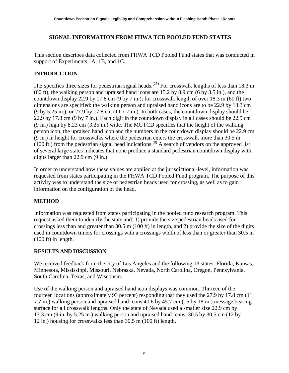#### <span id="page-18-0"></span>**SIGNAL INFORMATION FROM FHWA TCD POOLED FUND STATES**

This section describes data collected from FHWA TCD Pooled Fund states that was conducted in support of Experiments 1A, 1B, and 1C.

#### <span id="page-18-1"></span>**INTRODUCTION**

ITE specifies three sizes for pedestrian signal heads.<sup>(25)</sup> For crosswalk lengths of less than 18.3 m (60 ft), the walking person and upraised hand icons are 15.2 by 8.9 cm (6 by 3.5 in.), and the countdown display 22.9 by 17.8 cm (9 by 7 in.); for crosswalk length of over 18.3 m (60 ft) two dimensions are specified: the walking person and upraised hand icons are to be 22.9 by 13.3 cm (9 by 5.25 in.), or 27.9 by 17.8 cm (11 x 7 in.). In both cases, the countdown display should be 22.9 by 17.8 cm (9 by 7 in.). Each digit in the countdown display in all cases should be 22.9 cm (9 in.) high by 8.23 cm (3.25 in.) wide. The MUTCD specifies that the height of the walking person icon, the upraised hand icon and the numbers in the countdown display should be 22.9 cm (9 in.) in height for crosswalks where the pedestrian enters the crosswalk more than 30.5 m  $(100 \text{ ft.})$  from the pedestrian signal head indications.<sup>(8)</sup> A search of vendors on the approved list of several large states indicates that none produce a standard pedestrian countdown display with digits larger than 22.9 cm (9 in.).

In order to understand how these values are applied at the jurisdictional-level, information was requested from states participating in the FHWA TCD Pooled Fund program. The purpose of this activity was to understand the size of pedestrian heads used for crossing, as well as to gain information on the configuration of the head.

#### <span id="page-18-2"></span>**METHOD**

Information was requested from states participating in the pooled fund research program. This request asked them to identify the state and: 1) provide the size pedestrian heads used for crossings less than and greater than 30.5 m (100 ft) in length, and 2) provide the size of the digits used in countdown timers for crossings with a crossings width of less than or greater than 30.5 m (100 ft) in length.

#### <span id="page-18-3"></span>**RESULTS AND DISCUSSION**

We received feedback from the city of Los Angeles and the following 13 states: Florida, Kansas, Minnesota, Mississippi, Missouri, Nebraska, Nevada, North Carolina, Oregon, Pennsylvania, South Carolina, Texas, and Wisconsin.

Use of the walking person and upraised hand icon displays was common. Thirteen of the fourteen locations (approximately 93 percent) responding that they used the 27.9 by 17.8 cm (11 x 7 in.) walking person and upraised hand icons 40.6 by 45.7 cm (16 by 18 in.) message bearing surface for all crosswalk lengths. Only the state of Nevada used a smaller size 22.9 cm by 13.3 cm (9 in. by 5.25 in.) walking person and upraised hand icons, 30.5 by 30.5 cm (12 by 12 in.) housing for crosswalks less than 30.5 m (100 ft) length.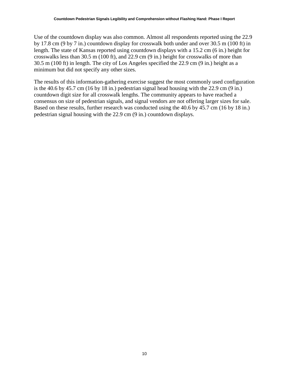Use of the countdown display was also common. Almost all respondents reported using the 22.9 by 17.8 cm (9 by 7 in.) countdown display for crosswalk both under and over 30.5 m (100 ft) in length. The state of Kansas reported using countdown displays with a 15.2 cm (6 in.) height for crosswalks less than 30.5 m (100 ft), and 22.9 cm (9 in.) height for crosswalks of more than 30.5 m (100 ft) in length. The city of Los Angeles specified the 22.9 cm (9 in.) height as a minimum but did not specify any other sizes.

The results of this information-gathering exercise suggest the most commonly used configuration is the 40.6 by 45.7 cm (16 by 18 in.) pedestrian signal head housing with the 22.9 cm (9 in.) countdown digit size for all crosswalk lengths. The community appears to have reached a consensus on size of pedestrian signals, and signal vendors are not offering larger sizes for sale. Based on these results, further research was conducted using the 40.6 by 45.7 cm (16 by 18 in.) pedestrian signal housing with the 22.9 cm (9 in.) countdown displays.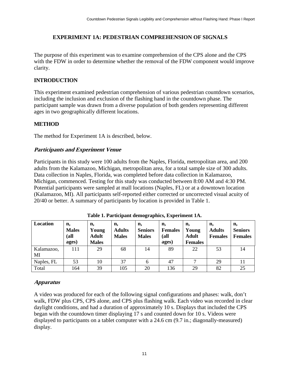#### **EXPERIMENT 1A: PEDESTRIAN COMPREHENSION OF SIGNALS**

<span id="page-20-0"></span>The purpose of this experiment was to examine comprehension of the CPS alone and the CPS with the FDW in order to determine whether the removal of the FDW component would improve clarity.

#### <span id="page-20-1"></span>**INTRODUCTION**

This experiment examined pedestrian comprehension of various pedestrian countdown scenarios, including the inclusion and exclusion of the flashing hand in the countdown phase. The participant sample was drawn from a diverse population of both genders representing different ages in two geographically different locations.

#### <span id="page-20-2"></span>**METHOD**

<span id="page-20-3"></span>The method for Experiment 1A is described, below.

#### **Participants and Experiment Venue**

Participants in this study were 100 adults from the Naples, Florida, metropolitan area, and 200 adults from the Kalamazoo, Michigan, metropolitan area, for a total sample size of 300 adults. Data collection in Naples, Florida, was completed before data collection in Kalamazoo, Michigan, commenced. Testing for this study was conducted between 8:00 AM and 4:30 PM. Potential participants were sampled at mall locations (Naples, FL) or at a downtown location (Kalamazoo, MI). All participants self-reported either corrected or uncorrected visual acuity of 20/40 or better. A summary of participants by location is provided in [Table 1.](#page-20-5)

<span id="page-20-5"></span>

| Location         | n,<br><b>Males</b><br>(a <sub>ll</sub> )<br>ages) | n,<br>Young<br><b>Adult</b><br><b>Males</b> | n,<br><b>Adults</b><br><b>Males</b> | n,<br><b>Seniors</b><br><b>Males</b> | n,<br><b>Females</b><br>(all<br>ages) | n,<br>Young<br><b>Adult</b><br><b>Females</b> | n,<br><b>Adults</b><br><b>Females</b> | n,<br><b>Seniors</b><br><b>Females</b> |
|------------------|---------------------------------------------------|---------------------------------------------|-------------------------------------|--------------------------------------|---------------------------------------|-----------------------------------------------|---------------------------------------|----------------------------------------|
| Kalamazoo,<br>MI | 111                                               | 29                                          | 68                                  | 14                                   | 89                                    | 22                                            | 53                                    | 14                                     |
| Naples, FL       | 53                                                | 10                                          | 37                                  | 6                                    | 47                                    | ⇁                                             | 29                                    | 11                                     |
| Total            | 164                                               | 39                                          | 105                                 | 20                                   | 136                                   | 29                                            | 82                                    | 25                                     |

**Table 1. Participant demographics, Experiment 1A.**

#### <span id="page-20-4"></span>**Apparatus**

A video was produced for each of the following signal configurations and phases: walk, don't walk, FDW plus CPS, CPS alone, and CPS plus flashing walk. Each video was recorded in clear daylight conditions, and had a duration of approximately 10 s. Displays that included the CPS began with the countdown timer displaying 17 s and counted down for 10 s. Videos were displayed to participants on a tablet computer with a 24.6 cm  $(9.7 \text{ in.};$  diagonally-measured) display.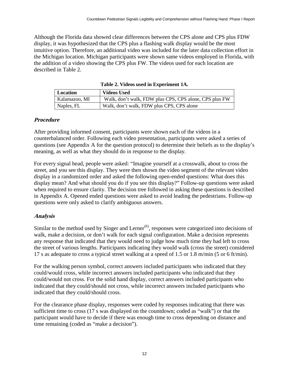Although the Florida data showed clear differences between the CPS alone and CPS plus FDW display, it was hypothesized that the CPS plus a flashing walk display would be the most intuitive option. Therefore, an additional video was included for the later data collection effort in the Michigan location. Michigan participants were shown same videos employed in Florida, with the addition of a video showing the CPS plus FW. The videos used for each location are described in [Table 2.](#page-21-2)

<span id="page-21-2"></span>

| Location      | <b>Videos Used</b>                                     |
|---------------|--------------------------------------------------------|
| Kalamazoo, MI | Walk, don't walk, FDW plus CPS, CPS alone, CPS plus FW |
| Naples, FL    | Walk, don't walk, FDW plus CPS, CPS alone              |

**Table 2. Videos used in Experiment 1A.**

#### <span id="page-21-0"></span>**Procedure**

After providing informed consent, participants were shown each of the videos in a counterbalanced order. Following each video presentation, participants were asked a series of questions (see Appendix A for the question protocol) to determine their beliefs as to the display's meaning, as well as what they should do in response to the display.

For every signal head, people were asked: "Imagine yourself at a crosswalk, about to cross the street, and you see this display. They were then shown the video segment of the relevant video display in a randomized order and asked the following open-ended questions: What does this display mean? And what should you do if you see this display?" Follow-up questions were asked when required to ensure clarity. The decision tree followed in asking these questions is described in Appendix A. Opened ended questions were asked to avoid leading the pedestrians. Follow-up questions were only asked to clarify ambiguous answers.

#### <span id="page-21-1"></span>**Analysis**

Similar to the method used by Singer and Lerner $(6)$ , responses were categorized into decisions of walk, make a decision, or don't walk for each signal configuration. Make a decision represents any response that indicated that they would need to judge how much time they had left to cross the street of various lengths. Participants indicating they would walk (cross the street) considered 17 s as adequate to cross a typical street walking at a speed of 1.5 or 1.8 m/min (5 or 6 ft/min).

For the walking person symbol, correct answers included participants who indicated that they could/would cross, while incorrect answers included participants who indicated that they could/would not cross. For the solid hand display, correct answers included participants who indicated that they could/should not cross, while incorrect answers included participants who indicated that they could/should cross.

For the clearance phase display, responses were coded by responses indicating that there was sufficient time to cross (17 s was displayed on the countdown; coded as "walk") or that the participant would have to decide if there was enough time to cross depending on distance and time remaining (coded as "make a decision").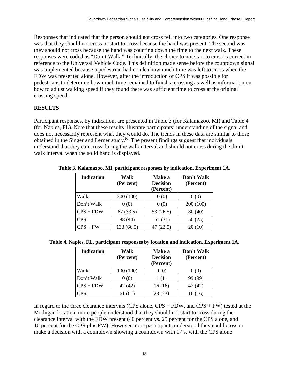Responses that indicated that the person should not cross fell into two categories. One response was that they should not cross or start to cross because the hand was present. The second was they should not cross because the hand was counting down the time to the next walk. These responses were coded as "Don't Walk." Technically, the choice to not start to cross is correct in reference to the Universal Vehicle Code. This definition made sense before the countdown signal was implemented because a pedestrian had no idea how much time was left to cross when the FDW was presented alone. However, after the introduction of CPS it was possible for pedestrians to determine how much time remained to finish a crossing as well as information on how to adjust walking speed if they found there was sufficient time to cross at the original crossing speed.

#### <span id="page-22-0"></span>**RESULTS**

Participant responses, by indication, are presented in [Table 3](#page-22-1) (for Kalamazoo, MI) and [Table 4](#page-22-2) (for Naples, FL). Note that these results illustrate participants' understanding of the signal and does not necessarily represent what they would do. The trends in these data are similar to those obtained in the Singer and Lerner study.<sup>(6)</sup> The present findings suggest that individuals understand that they can cross during the walk interval and should not cross during the don't walk interval when the solid hand is displayed.

| <b>Indication</b> | Walk<br>(Percent) | <b>Make a</b><br><b>Decision</b><br>(Percent) | Don't Walk<br>(Percent) |
|-------------------|-------------------|-----------------------------------------------|-------------------------|
| Walk              | 200 (100)         | 0(0)                                          | 0(0)                    |
| Don't Walk        | 0(0)              | 0(0)                                          | 200 (100)               |
| $CPS + FDW$       | 67(33.5)          | 53 (26.5)                                     | 80(40)                  |
| <b>CPS</b>        | 88 (44)           | 62(31)                                        | 50(25)                  |
| $CPS + FW$        | 133 (66.5)        | 47(23.5)                                      | 20(10)                  |

<span id="page-22-1"></span>**Table 3. Kalamazoo, MI, participant responses by indication, Experiment 1A.**

<span id="page-22-2"></span>

|  |  | Table 4. Naples, FL, participant responses by location and indication, Experiment 1A. |  |  |
|--|--|---------------------------------------------------------------------------------------|--|--|
|--|--|---------------------------------------------------------------------------------------|--|--|

| <b>Indication</b> | Walk<br>(Percent) | <b>Make a</b><br><b>Decision</b><br>(Percent) | Don't Walk<br>(Percent) |  |  |
|-------------------|-------------------|-----------------------------------------------|-------------------------|--|--|
| Walk              | 100 (100)         | 0(0)                                          | 0(0)                    |  |  |
| Don't Walk        | 0(0)              | 1(1)                                          | 99 (99)                 |  |  |
| $CPS + FDW$       | 42 (42)           | 16(16)                                        | 42 (42)                 |  |  |
| CPS               | 61 (61)           | 23(23)                                        | 16 (16)                 |  |  |

In regard to the three clearance intervals (CPS alone,  $CPS + FDW$ , and  $CPS + FW$ ) tested at the Michigan location, more people understood that they should not start to cross during the clearance interval with the FDW present (40 percent vs. 25 percent for the CPS alone, and 10 percent for the CPS plus FW). However more participants understood they could cross or make a decision with a countdown showing a countdown with 17 s. with the CPS alone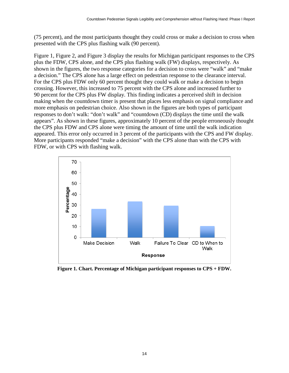(75 percent), and the most participants thought they could cross or make a decision to cross when presented with the CPS plus flashing walk (90 percent).

[Figure 1,](#page-23-0) [Figure 2,](#page-24-0) and [Figure 3](#page-24-1) display the results for Michigan participant responses to the CPS plus the FDW, CPS alone, and the CPS plus flashing walk (FW) displays, respectively. As shown in the figures, the two response categories for a decision to cross were "walk" and "make a decision." The CPS alone has a large effect on pedestrian response to the clearance interval. For the CPS plus FDW only 60 percent thought they could walk or make a decision to begin crossing. However, this increased to 75 percent with the CPS alone and increased further to 90 percent for the CPS plus FW display. This finding indicates a perceived shift in decision making when the countdown timer is present that places less emphasis on signal compliance and more emphasis on pedestrian choice. Also shown in the figures are both types of participant responses to don't walk: "don't walk" and "countdown (CD) displays the time until the walk appears". As shown in these figures, approximately 10 percent of the people erroneously thought the CPS plus FDW and CPS alone were timing the amount of time until the walk indication appeared. This error only occurred in 3 percent of the participants with the CPS and FW display. More participants responded "make a decision" with the CPS alone than with the CPS with FDW, or with CPS with flashing walk.



<span id="page-23-0"></span>**Figure 1. Chart. Percentage of Michigan participant responses to CPS + FDW.**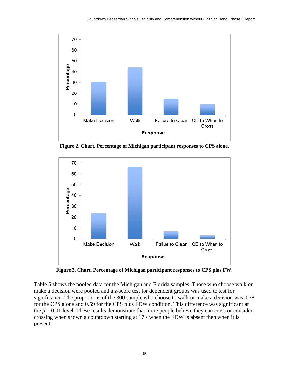

<span id="page-24-0"></span>**Figure 2. Chart. Percentage of Michigan participant responses to CPS alone.**



**Figure 3. Chart. Percentage of Michigan participant responses to CPS plus FW.**

<span id="page-24-1"></span>[Table 5](#page-25-1) shows the pooled data for the Michigan and Florida samples. Those who choose walk or make a decision were pooled and a *z*-score test for dependent groups was used to test for significance. The proportions of the 300 sample who choose to walk or make a decision was 0.78 for the CPS alone and 0.59 for the CPS plus FDW condition. This difference was significant at the  $p = 0.01$  level. These results demonstrate that more people believe they can cross or consider crossing when shown a countdown starting at 17 s when the FDW is absent then when it is present.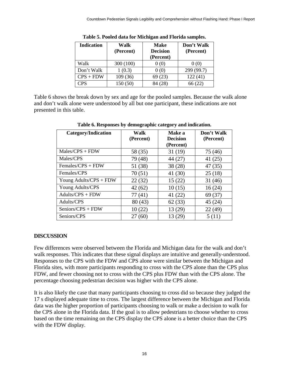<span id="page-25-1"></span>

| <b>Indication</b> | Walk<br>(Percent) | <b>Make</b><br><b>Decision</b><br>(Percent) | Don't Walk<br>(Percent) |
|-------------------|-------------------|---------------------------------------------|-------------------------|
| Walk              | 300(100)          | 0(0)                                        | 0(0)                    |
| Don't Walk        | 1(0.3)            | 0(0)                                        | 299 (99.7)              |
| $CPS + FDW$       | 109 (36)          | 69(23)                                      | 122(41)                 |
| <b>CPS</b>        | 150 (50)          | 84 (28)                                     | 66 (22)                 |

**Table 5. Pooled data for Michigan and Florida samples.**

<span id="page-25-2"></span>[Table 6](#page-25-2) shows the break down by sex and age for the pooled samples. Because the walk alone and don't walk alone were understood by all but one participant, these indications are not presented in this table.

| <b>Category/Indication</b> | Walk      | Make a                       | Don't Walk |
|----------------------------|-----------|------------------------------|------------|
|                            | (Percent) | <b>Decision</b><br>(Percent) | (Percent)  |
| $Males/CPS + FDW$          | 58 (35)   | 31(19)                       | 75 (46)    |
| Males/CPS                  | 79 (48)   | 44 (27)                      | 41 $(25)$  |
| Females/CPS + FDW          | 51 (38)   | 38(28)                       | 47 (35)    |
| Females/CPS                | 70(51)    | 41 (30)                      | 25(18)     |
| Young Adults/CPS + FDW     | 22(32)    | 15(22)                       | 31(46)     |
| Young Adults/CPS           | 42(62)    | 10(15)                       | 16(24)     |
| Adults/CPS + FDW           | 77 (41)   | 41 $(22)$                    | 69 (37)    |
| Adults/CPS                 | 80(43)    | 62(33)                       | 45(24)     |
| Seniors/CPS + FDW          | 10(22)    | 13 (29)                      | 22(49)     |
| Seniors/CPS                | 27(60)    | 13 (29)                      | 5(11)      |

**Table 6. Responses by demographic category and indication.**

#### <span id="page-25-0"></span>**DISCUSSION**

Few differences were observed between the Florida and Michigan data for the walk and don't walk responses. This indicates that these signal displays are intuitive and generally-understood. Responses to the CPS with the FDW and CPS alone were similar between the Michigan and Florida sites, with more participants responding to cross with the CPS alone than the CPS plus FDW, and fewer choosing not to cross with the CPS plus FDW than with the CPS alone. The percentage choosing pedestrian decision was higher with the CPS alone.

It is also likely the case that many participants choosing to cross did so because they judged the 17 s displayed adequate time to cross. The largest difference between the Michigan and Florida data was the higher proportion of participants choosing to walk or make a decision to walk for the CPS alone in the Florida data. If the goal is to allow pedestrians to choose whether to cross based on the time remaining on the CPS display the CPS alone is a better choice than the CPS with the FDW display.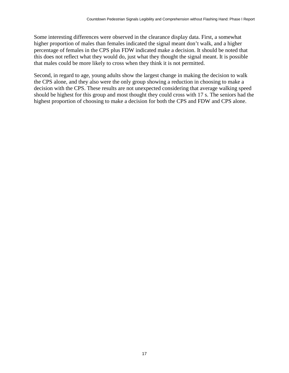Some interesting differences were observed in the clearance display data. First, a somewhat higher proportion of males than females indicated the signal meant don't walk, and a higher percentage of females in the CPS plus FDW indicated make a decision. It should be noted that this does not reflect what they would do, just what they thought the signal meant. It is possible that males could be more likely to cross when they think it is not permitted.

Second, in regard to age, young adults show the largest change in making the decision to walk the CPS alone, and they also were the only group showing a reduction in choosing to make a decision with the CPS. These results are not unexpected considering that average walking speed should be highest for this group and most thought they could cross with 17 s. The seniors had the highest proportion of choosing to make a decision for both the CPS and FDW and CPS alone.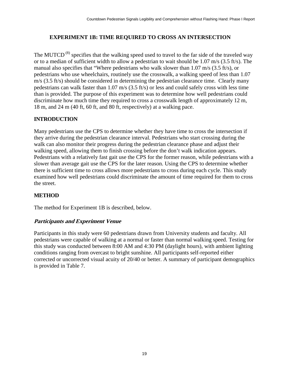#### <span id="page-28-0"></span>**EXPERIMENT 1B: TIME REQUIRED TO CROSS AN INTERSECTION**

The MUTCD<sup>(8)</sup> specifies that the walking speed used to travel to the far side of the traveled way or to a median of sufficient width to allow a pedestrian to wait should be 1.07 m/s (3.5 ft/s). The manual also specifies that "Where pedestrians who walk slower than 1.07 m/s (3.5 ft/s), or pedestrians who use wheelchairs, routinely use the crosswalk, a walking speed of less than 1.07 m/s (3.5 ft/s) should be considered in determining the pedestrian clearance time. Clearly many pedestrians can walk faster than 1.07 m/s (3.5 ft/s) or less and could safely cross with less time than is provided. The purpose of this experiment was to determine how well pedestrians could discriminate how much time they required to cross a crosswalk length of approximately 12 m, 18 m, and 24 m (40 ft, 60 ft, and 80 ft, respectively) at a walking pace.

#### <span id="page-28-1"></span>**INTRODUCTION**

Many pedestrians use the CPS to determine whether they have time to cross the intersection if they arrive during the pedestrian clearance interval. Pedestrians who start crossing during the walk can also monitor their progress during the pedestrian clearance phase and adjust their walking speed, allowing them to finish crossing before the don't walk indication appears. Pedestrians with a relatively fast gait use the CPS for the former reason, while pedestrians with a slower than average gait use the CPS for the later reason. Using the CPS to determine whether there is sufficient time to cross allows more pedestrians to cross during each cycle. This study examined how well pedestrians could discriminate the amount of time required for them to cross the street.

#### <span id="page-28-2"></span>**METHOD**

<span id="page-28-3"></span>The method for Experiment 1B is described, below.

#### **Participants and Experiment Venue**

Participants in this study were 60 pedestrians drawn from University students and faculty. All pedestrians were capable of walking at a normal or faster than normal walking speed. Testing for this study was conducted between 8:00 AM and 4:30 PM (daylight hours), with ambient lighting conditions ranging from overcast to bright sunshine. All participants self-reported either corrected or uncorrected visual acuity of 20/40 or better. A summary of participant demographics is provided in [Table 7.](#page-29-3)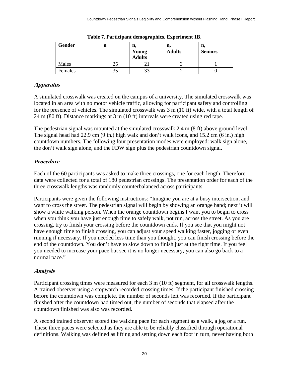<span id="page-29-3"></span>

| Gender  | n | n,<br>Young<br>Adults | n,<br><b>Adults</b> | n,<br><b>Seniors</b> |
|---------|---|-----------------------|---------------------|----------------------|
| Males   |   |                       |                     |                      |
| Females |   | 33                    |                     |                      |

**Table 7. Participant demographics, Experiment 1B.**

#### <span id="page-29-0"></span>**Apparatus**

A simulated crosswalk was created on the campus of a university. The simulated crosswalk was located in an area with no motor vehicle traffic, allowing for participant safety and controlling for the presence of vehicles. The simulated crosswalk was 3 m (10 ft) wide, with a total length of 24 m (80 ft). Distance markings at 3 m (10 ft) intervals were created using red tape.

The pedestrian signal was mounted at the simulated crosswalk 2.4 m (8 ft) above ground level. The signal head had 22.9 cm (9 in.) high walk and don't walk icons, and 15.2 cm (6 in.) high countdown numbers. The following four presentation modes were employed: walk sign alone, the don't walk sign alone, and the FDW sign plus the pedestrian countdown signal.

## <span id="page-29-1"></span>**Procedure**

Each of the 60 participants was asked to make three crossings, one for each length. Therefore data were collected for a total of 180 pedestrian crossings. The presentation order for each of the three crosswalk lengths was randomly counterbalanced across participants.

Participants were given the following instructions: "Imagine you are at a busy intersection, and want to cross the street. The pedestrian signal will begin by showing an orange hand; next it will show a white walking person. When the orange countdown begins I want you to begin to cross when you think you have just enough time to safely walk, not run, across the street. As you are crossing, try to finish your crossing before the countdown ends. If you see that you might not have enough time to finish crossing, you can adjust your speed walking faster, jogging or even running if necessary. If you needed less time than you thought, you can finish crossing before the end of the countdown. You don't have to slow down to finish just at the right time. If you feel you needed to increase your pace but see it is no longer necessary, you can also go back to a normal pace."

## <span id="page-29-2"></span>**Analysis**

Participant crossing times were measured for each 3 m (10 ft) segment, for all crosswalk lengths. A trained observer using a stopwatch recorded crossing times. If the participant finished crossing before the countdown was complete, the number of seconds left was recorded. If the participant finished after the countdown had timed out, the number of seconds that elapsed after the countdown finished was also was recorded.

A second trained observer scored the walking pace for each segment as a walk, a jog or a run. These three paces were selected as they are able to be reliably classified through operational definitions. Walking was defined as lifting and setting down each foot in turn, never having both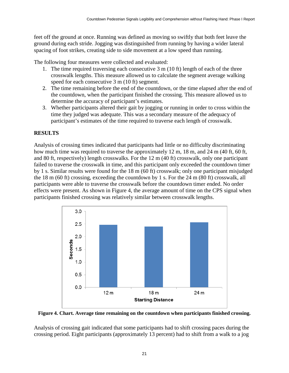feet off the ground at once. Running was defined as moving so swiftly that both feet leave the ground during each stride. Jogging was distinguished from running by having a wider lateral spacing of foot strikes, creating side to side movement at a low speed than running.

The following four measures were collected and evaluated:

- 1. The time required traversing each consecutive 3 m (10 ft) length of each of the three crosswalk lengths. This measure allowed us to calculate the segment average walking speed for each consecutive 3 m (10 ft) segment.
- 2. The time remaining before the end of the countdown, or the time elapsed after the end of the countdown, when the participant finished the crossing. This measure allowed us to determine the accuracy of participant's estimates.
- 3. Whether participants altered their gait by jogging or running in order to cross within the time they judged was adequate. This was a secondary measure of the adequacy of participant's estimates of the time required to traverse each length of crosswalk.

#### <span id="page-30-0"></span>**RESULTS**

Analysis of crossing times indicated that participants had little or no difficulty discriminating how much time was required to traverse the approximately 12 m, 18 m, and 24 m (40 ft, 60 ft, and 80 ft, respectively) length crosswalks. For the 12 m (40 ft) crosswalk, only one participant failed to traverse the crosswalk in time, and this participant only exceeded the countdown timer by 1 s. Similar results were found for the 18 m (60 ft) crosswalk; only one participant misjudged the 18 m (60 ft) crossing, exceeding the countdown by 1 s. For the 24 m (80 ft) crosswalk, all participants were able to traverse the crosswalk before the countdown timer ended. No order effects were present. As shown in [Figure 4,](#page-30-1) the average amount of time on the CPS signal when participants finished crossing was relatively similar between crosswalk lengths.



<span id="page-30-1"></span>**Figure 4. Chart. Average time remaining on the countdown when participants finished crossing.**

Analysis of crossing gait indicated that some participants had to shift crossing paces during the crossing period. Eight participants (approximately 13 percent) had to shift from a walk to a jog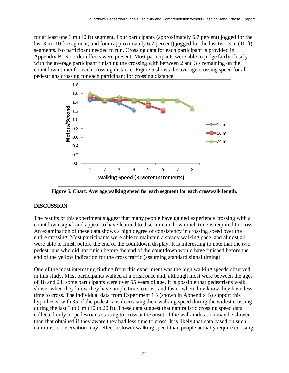for at least one 3 m (10 ft) segment. Four participants (approximately 6.7 percent) jogged for the last 3 m (10 ft) segment, and four (approximately 6.7 percent) jogged for the last two 3 m (10 ft) segments. No participant needed to run. Crossing data for each participant is provided in Appendix B. No order effects were present. Most participants were able to judge fairly closely with the average participant finishing the crossing with between 2 and 3 s remaining on the countdown timer for each crossing distance. [Figure 5](#page-31-1) shows the average crossing speed for all pedestrians crossing for each participant for crossing distance.



**Figure 5. Chart. Average walking speed for each segment for each crosswalk length.**

#### <span id="page-31-1"></span><span id="page-31-0"></span>**DISCUSSION**

The results of this experiment suggest that many people have gained experience crossing with a countdown signal and appear to have learned to discriminate how much time is required to cross. An examination of these data shows a high degree of consistency in crossing speed over the entire crossing. Most participants were able to maintain a steady walking pace, and almost all were able to finish before the end of the countdown display. It is interesting to note that the two pedestrians who did not finish before the end of the countdown would have finished before the end of the yellow indication for the cross traffic (assuming standard signal timing).

One of the most interesting finding from this experiment was the high walking speeds observed in this study. Most participants walked at a brisk pace and, although most were between the ages of 18 and 24, some participants were over 65 years of age. It is possible that pedestrians walk slower when they know they have ample time to cross and faster when they know they have less time to cross. The individual data from Experiment 1B (shown in Appendix B) support this hypothesis, with 35 of the pedestrians decreasing their walking speed during the widest crossing during the last 3 to 6 m (10 to 20 ft). These data suggest that naturalistic crossing speed data collected only on pedestrians starting to cross at the onset of the walk indication may be slower than that obtained if they aware they had less time to cross. It is likely that data based on such naturalistic observation may reflect a slower walking speed than people actually require crossing.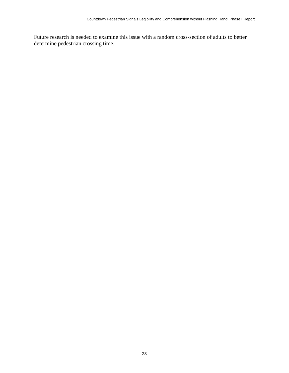Future research is needed to examine this issue with a random cross-section of adults to better determine pedestrian crossing time.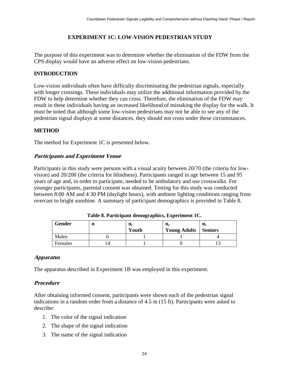#### **EXPERIMENT 1C: LOW-VISION PEDESTRIAN STUDY**

<span id="page-33-0"></span>The purpose of this experiment was to determine whether the elimination of the FDW from the CPS display would have an adverse effect on low-vision pedestrians.

#### <span id="page-33-1"></span>**INTRODUCTION**

Low-vision individuals often have difficulty discriminating the pedestrian signals, especially with longer crossings. These individuals may utilize the additional information provided by the FDW to help determine whether they can cross. Therefore, the elimination of the FDW may result in these individuals having an increased likelihood of mistaking the display for the walk. It must be noted that although some low-vision pedestrians may not be able to see any of the pedestrian signal displays at some distances, they should not cross under these circumstances.

#### <span id="page-33-2"></span>**METHOD**

<span id="page-33-3"></span>The method for Experiment 1C is presented below.

#### **Participants and Experiment Venue**

Participants in this study were persons with a visual acuity between 20/70 (the criteria for lowvision) and 20/200 (the criteria for blindness). Participants ranged in age between 15 and 95 years of age and, in order to participate, needed to be ambulatory and use crosswalks. For younger participants, parental consent was obtained. Testing for this study was conducted between 8:00 AM and 4:30 PM (daylight hours), with ambient lighting conditions ranging from overcast to bright sunshine. A summary of participant demographics is provided in [Table 8.](#page-33-6)

<span id="page-33-6"></span>

| Gender  | n  | n,<br>Youth | n,<br><b>Young Adults</b> | п.<br><b>Seniors</b> |
|---------|----|-------------|---------------------------|----------------------|
| Males   |    |             |                           |                      |
| Females | 14 |             |                           |                      |

**Table 8. Participant demographics, Experiment 1C.**

#### <span id="page-33-4"></span>**Apparatus**

<span id="page-33-5"></span>The apparatus described in Experiment 1B was employed in this experiment.

#### **Procedure**

After obtaining informed consent, participants were shown each of the pedestrian signal indications in a random order from a distance of 4.5 m (15 ft). Participants were asked to describe:

- 1. The color of the signal indication
- 2. The shape of the signal indication
- 3. The name of the signal indication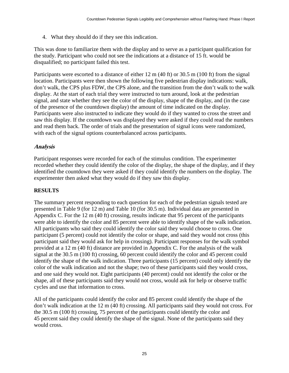4. What they should do if they see this indication.

This was done to familiarize them with the display and to serve as a participant qualification for the study. Participant who could not see the indications at a distance of 15 ft. would be disqualified; no participant failed this test.

Participants were escorted to a distance of either 12 m (40 ft) or 30.5 m (100 ft) from the signal location. Participants were then shown the following five pedestrian display indications: walk, don't walk, the CPS plus FDW, the CPS alone, and the transition from the don't walk to the walk display. At the start of each trial they were instructed to turn around, look at the pedestrian signal, and state whether they see the color of the display, shape of the display, and (in the case of the presence of the countdown display) the amount of time indicated on the display. Participants were also instructed to indicate they would do if they wanted to cross the street and saw this display. If the countdown was displayed they were asked if they could read the numbers and read them back. The order of trials and the presentation of signal icons were randomized, with each of the signal options counterbalanced across participants.

#### <span id="page-34-0"></span>**Analysis**

Participant responses were recorded for each of the stimulus condition. The experimenter recorded whether they could identify the color of the display, the shape of the display, and if they identified the countdown they were asked if they could identify the numbers on the display. The experimenter then asked what they would do if they saw this display.

#### <span id="page-34-1"></span>**RESULTS**

The summary percent responding to each question for each of the pedestrian signals tested are presented in [Table 9](#page-35-0) (for 12 m) and [Table 10](#page-35-1) (for 30.5 m). Individual data are presented in Appendix C. For the 12 m (40 ft) crossing, results indicate that 95 percent of the participants were able to identify the color and 85 percent were able to identify shape of the walk indication. All participants who said they could identify the color said they would choose to cross. One participant (5 percent) could not identify the color or shape, and said they would not cross (this participant said they would ask for help in crossing). Participant responses for the walk symbol provided at a 12 m (40 ft) distance are provided in Appendix C. For the analysis of the walk signal at the 30.5 m (100 ft) crossing, 60 percent could identify the color and 45 percent could identify the shape of the walk indication. Three participants (15 percent) could only identify the color of the walk indication and not the shape; two of these participants said they would cross, and one said they would not. Eight participants (40 percent) could not identify the color or the shape, all of these participants said they would not cross, would ask for help or observe traffic cycles and use that information to cross.

All of the participants could identify the color and 85 percent could identify the shape of the don't walk indication at the 12 m (40 ft) crossing. All participants said they would not cross. For the 30.5 m (100 ft) crossing, 75 percent of the participants could identify the color and 45 percent said they could identify the shape of the signal. None of the participants said they would cross.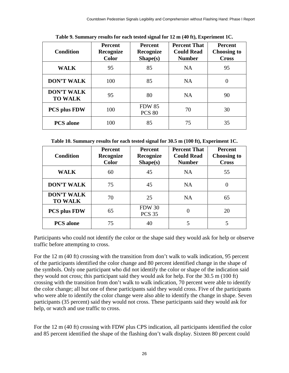<span id="page-35-0"></span>

| <b>Condition</b>                    | <b>Percent</b><br>Recognize<br><b>Color</b> | <b>Percent</b><br>Recognize<br>Shape(s) | <b>Percent That</b><br><b>Could Read</b><br><b>Number</b> | <b>Percent</b><br><b>Choosing to</b><br><b>Cross</b> |
|-------------------------------------|---------------------------------------------|-----------------------------------------|-----------------------------------------------------------|------------------------------------------------------|
| <b>WALK</b>                         | 95                                          | 85                                      | <b>NA</b>                                                 | 95                                                   |
| <b>DON'T WALK</b>                   | 100                                         | 85                                      | <b>NA</b>                                                 | 0                                                    |
| <b>DON'T WALK</b><br><b>TO WALK</b> | 95                                          | 80                                      | <b>NA</b>                                                 | 90                                                   |
| <b>PCS plus FDW</b>                 | 100                                         | <b>FDW 85</b><br><b>PCS 80</b>          | 70                                                        | 30                                                   |
| <b>PCS</b> alone                    | 100                                         | 85                                      | 75                                                        | 35                                                   |

**Table 9. Summary results for each tested signal for 12 m (40 ft), Experiment 1C.**

<span id="page-35-1"></span>**Table 10. Summary results for each tested signal for 30.5 m (100 ft), Experiment 1C.**

| <b>Condition</b>                    | Percent<br>Recognize<br><b>Color</b> | <b>Percent</b><br>Recognize<br>Shape(s) | <b>Percent That</b><br><b>Could Read</b><br><b>Number</b> | Percent<br><b>Choosing to</b><br><b>Cross</b> |
|-------------------------------------|--------------------------------------|-----------------------------------------|-----------------------------------------------------------|-----------------------------------------------|
| <b>WALK</b>                         | 60                                   | 45                                      | <b>NA</b>                                                 | 55                                            |
| <b>DON'T WALK</b>                   | 75                                   | 45                                      | <b>NA</b>                                                 |                                               |
| <b>DON'T WALK</b><br><b>TO WALK</b> | 70                                   | 25                                      | <b>NA</b>                                                 | 65                                            |
| <b>PCS plus FDW</b>                 | 65                                   | <b>FDW 30</b><br><b>PCS 35</b>          | 0                                                         | 20                                            |
| <b>PCS</b> alone                    | 75                                   | 40                                      | 5                                                         |                                               |

Participants who could not identify the color or the shape said they would ask for help or observe traffic before attempting to cross.

For the 12 m (40 ft) crossing with the transition from don't walk to walk indication, 95 percent of the participants identified the color change and 80 percent identified change in the shape of the symbols. Only one participant who did not identify the color or shape of the indication said they would not cross; this participant said they would ask for help. For the 30.5 m (100 ft) crossing with the transition from don't walk to walk indication, 70 percent were able to identify the color change; all but one of these participants said they would cross. Five of the participants who were able to identify the color change were also able to identify the change in shape. Seven participants (35 percent) said they would not cross. These participants said they would ask for help, or watch and use traffic to cross.

For the 12 m (40 ft) crossing with FDW plus CPS indication, all participants identified the color and 85 percent identified the shape of the flashing don't walk display. Sixteen 80 percent could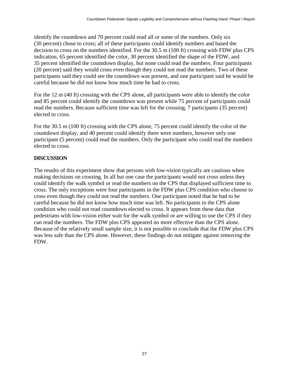identify the countdown and 70 percent could read all or some of the numbers. Only six (30 percent) chose to cross; all of these participants could identify numbers and based the decision to cross on the numbers identified. For the 30.5 m (100 ft) crossing with FDW plus CPS indication, 65 percent identified the color, 30 percent identified the shape of the FDW, and 35 percent identified the countdown display, but none could read the numbers. Four participants (20 percent) said they would cross even though they could not read the numbers. Two of these participants said they could see the countdown was present, and one participant said he would be careful because he did not know how much time he had to cross.

For the 12 m (40 ft) crossing with the CPS alone, all participants were able to identify the color and 85 percent could identify the countdown was present while 75 percent of participants could read the numbers. Because sufficient time was left for the crossing, 7 participants (35 percent) elected to cross.

For the 30.5 m (100 ft) crossing with the CPS alone, 75 percent could identify the color of the countdown display, and 40 percent could identify there were numbers, however only one participant (5 percent) could read the numbers. Only the participant who could read the numbers elected to cross.

#### <span id="page-36-0"></span>**DISCUSSION**

The results of this experiment show that persons with low-vision typically are cautious when making decisions on crossing. In all but one case the participants would not cross unless they could identify the walk symbol or read the numbers on the CPS that displayed sufficient time to cross. The only exceptions were four participants in the FDW plus CPS condition who choose to cross even though they could not read the numbers. One participant noted that he had to be careful because he did not know how much time was left. No participants in the CPS alone condition who could not read countdown elected to cross. It appears from these data that pedestrians with low-vision either wait for the walk symbol or are willing to use the CPS if they can read the numbers. The FDW plus CPS appeared no more effective than the CPS alone. Because of the relatively small sample size, it is not possible to conclude that the FDW plus CPS was less safe than the CPS alone. However, these findings do not mitigate against removing the FDW.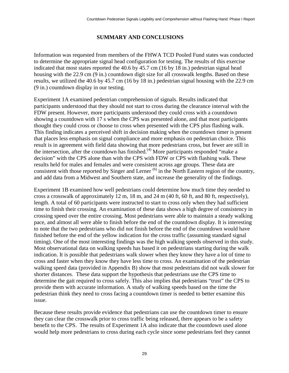#### **SUMMARY AND CONCLUSIONS**

<span id="page-38-0"></span>Information was requested from members of the FHWA TCD Pooled Fund states was conducted to determine the appropriate signal head configuration for testing. The results of this exercise indicated that most states reported the 40.6 by 45.7 cm (16 by 18 in.) pedestrian signal head housing with the 22.9 cm (9 in.) countdown digit size for all crosswalk lengths. Based on these results, we utilized the 40.6 by 45.7 cm (16 by 18 in.) pedestrian signal housing with the 22.9 cm (9 in.) countdown display in our testing.

Experiment 1A examined pedestrian comprehension of signals. Results indicated that participants understood that they should not start to cross during the clearance interval with the FDW present. However, more participants understood they could cross with a countdown showing a countdown with 17 s when the CPS was presented alone, and that most participants thought they could cross or choose to cross when presented with the CPS plus flashing walk. This finding indicates a perceived shift in decision making when the countdown timer is present that places less emphasis on signal compliance and more emphasis on pedestrian choice. This result is in agreement with field data showing that more pedestrians cross, but fewer are still in the intersection, after the countdown has finished.<sup>(4)</sup> More participants responded "make a decision" with the CPS alone than with the CPS with FDW or CPS with flashing walk. These results held for males and females and were consistent across age groups. These data are consistent with those reported by Singer and Lerner<sup>(6)</sup> in the North Eastern region of the country, and add data from a Midwest and Southern state, and increase the generality of the findings.

Experiment 1B examined how well pedestrians could determine how much time they needed to cross a crosswalk of approximately 12 m, 18 m, and 24 m (40 ft, 60 ft, and 80 ft, respectively), length. A total of 60 participants were instructed to start to cross only when they had sufficient time to finish their crossing. An examination of these data shows a high degree of consistency in crossing speed over the entire crossing. Most pedestrians were able to maintain a steady walking pace, and almost all were able to finish before the end of the countdown display. It is interesting to note that the two pedestrians who did not finish before the end of the countdown would have finished before the end of the yellow indication for the cross traffic (assuming standard signal timing). One of the most interesting findings was the high walking speeds observed in this study. Most observational data on walking speeds has based it on pedestrians starting during the walk indication. It is possible that pedestrians walk slower when they know they have a lot of time to cross and faster when they know they have less time to cross. An examination of the pedestrian walking speed data (provided in Appendix B) show that most pedestrians did not walk slower for shorter distances. These data support the hypothesis that pedestrians use the CPS time to determine the gait required to cross safely. This also implies that pedestrians "trust" the CPS to provide them with accurate information. A study of walking speeds based on the time the pedestrian think they need to cross facing a countdown timer is needed to better examine this issue.

Because these results provide evidence that pedestrians can use the countdown timer to ensure they can clear the crosswalk prior to cross traffic being released, there appears to be a safety benefit to the CPS. The results of Experiment 1A also indicate that the countdown used alone would help more pedestrians to cross during each cycle since some pedestrians feel they cannot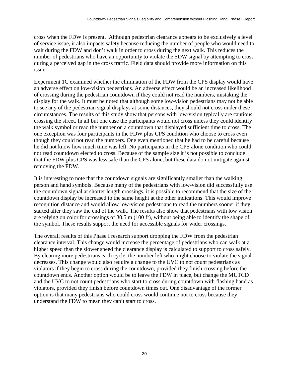cross when the FDW is present. Although pedestrian clearance appears to be exclusively a level of service issue, it also impacts safety because reducing the number of people who would need to wait during the FDW and don't walk in order to cross during the next walk. This reduces the number of pedestrians who have an opportunity to violate the SDW signal by attempting to cross during a perceived gap in the cross traffic. Field data should provide more information on this issue.

Experiment 1C examined whether the elimination of the FDW from the CPS display would have an adverse effect on low-vision pedestrians. An adverse effect would be an increased likelihood of crossing during the pedestrian countdown if they could not read the numbers, mistaking the display for the walk. It must be noted that although some low-vision pedestrians may not be able to see any of the pedestrian signal displays at some distances, they should not cross under these circumstances. The results of this study show that persons with low-vision typically are cautious crossing the street. In all but one case the participants would not cross unless they could identify the walk symbol or read the number on a countdown that displayed sufficient time to cross. The one exception was four participants in the FDW plus CPS condition who choose to cross even though they could not read the numbers. One even mentioned that he had to be careful because he did not know how much time was left. No participants in the CPS alone condition who could not read countdown elected to cross. Because of the sample size it is not possible to conclude that the FDW plus CPS was less safe than the CPS alone, but these data do not mitigate against removing the FDW.

It is interesting to note that the countdown signals are significantly smaller than the walking person and hand symbols. Because many of the pedestrians with low-vision did successfully use the countdown signal at shorter length crossings, it is possible to recommend that the size of the countdown display be increased to the same height at the other indications. This would improve recognition distance and would allow low-vision pedestrians to read the numbers sooner if they started after they saw the end of the walk. The results also show that pedestrians with low vision are relying on color for crossings of 30.5 m (100 ft), without being able to identify the shape of the symbol. These results support the need for accessible signals for wider crossings.

The overall results of this Phase I research support dropping the FDW from the pedestrian clearance interval. This change would increase the percentage of pedestrians who can walk at a higher speed than the slower speed the clearance display is calculated to support to cross safely. By clearing more pedestrians each cycle, the number left who might choose to violate the signal decreases. This change would also require a change to the UVC to not count pedestrians as violators if they begin to cross during the countdown, provided they finish crossing before the countdown ends. Another option would be to leave the FDW in place, but change the MUTCD and the UVC to not count pedestrians who start to cross during countdown with flashing hand as violators, provided they finish before countdown times out. One disadvantage of the former option is that many pedestrians who could cross would continue not to cross because they understand the FDW to mean they can't start to cross.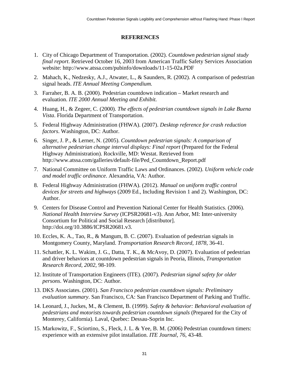#### **REFERENCES**

- <span id="page-40-0"></span>1. City of Chicago Department of Transportation. (2002). *Countdown pedestrian signal study final report*. Retrieved October 16, 2003 from American Traffic Safety Services Association website: http://www.atssa.com/pubinfo/downloads/11-15-02a.PDF
- 2. Mahach, K., Nedzesky, A.J., Atwater, L., & Saunders, R. (2002). A comparison of pedestrian signal heads. *ITE Annual Meeting Compendium.*
- 3. Farraher, B. A. B. (2000). Pedestrian countdown indication Market research and evaluation. *ITE 2000 Annual Meeting and Exhibit.*
- 4. Huang, H., & Zegeer, C. (2000). *The effects of pedestrian countdown signals in Lake Buena Vista*. Florida Department of Transportation.
- 5. Federal Highway Administration (FHWA). (2007). *Desktop reference for crash reduction factors*. Washington, DC: Author.
- 6. Singer, J. P., & Lerner, N. (2005). *Countdown pedestrian signals: A comparison of alternative pedestrian change interval displays: Final report* (Prepared for the Federal Highway Administration). Rockville, MD: Westat. Retrieved from [http://www.atssa.com/galleries/default-file/Ped\\_Countdown\\_Report.pdf](http://www.atssa.com/galleries/default-file/Ped_Countdown_Report.pdf)
- 7. National Committee on Uniform Traffic Laws and Ordinances. (2002). *Uniform vehicle code and model traffic ordinance*. Alexandria, VA: Author.
- 8. Federal Highway Administration (FHWA). (2012). *Manual on uniform traffic control devices for streets and highways* (2009 Ed., Including Revision 1 and 2). Washington, DC: Author.
- 9. Centers for Disease Control and Prevention National Center for Health Statistics. (2006). *National Health Interview Survey* (ICPSR20681-v3). Ann Arbor, MI: Inter-university Consortium for Political and Social Research [distributor]. http://doi.org/10.3886/ICPSR20681.v3.
- 10. Eccles, K. A., Tao, R., & Mangum, B. C. (2007). Evaluation of pedestrian signals in Montgomery County, Maryland. *Transportation Research Record, 1878*, 36-41.
- 11. Schattler, K. L. Wakim, J. G., Datta, T. K., & McAvoy, D. (2007). Evaluation of pedestrian and driver behaviors at countdown pedestrian signals in Peoria, Illinois, *Transportation Research Record, 2002*, 98-109.
- 12. Institute of Transportation Engineers (ITE). (2007). *Pedestrian signal safety for older persons*. Washington, DC: Author.
- 13. DKS Associates. (2001). *San Francisco pedestrian countdown signals: Preliminary evaluation summary*. San Francisco, CA: San Francisco Department of Parking and Traffic.
- 14. Leonard, J., Juckes, M., & Clement, B. (1999). *Safety & behavior: Behavioral evaluation of pedestrians and motorists towards pedestrian countdown signals* (Prepared for the City of Monterey, California). Laval, Quebec: Dessau-Soprin Inc.
- 15. Markowitz, F., Sciortino, S., Fleck, J. L. & Yee, B. M. (2006) Pedestrian countdown timers: experience with an extensive pilot installation. *ITE Journal, 76*, 43-48.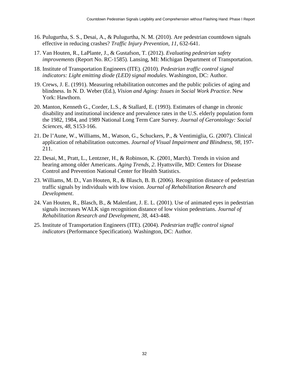- 16. Pulugurtha, S. S., Desai, A., & Pulugurtha, N. M. (2010). Are pedestrian countdown signals effective in reducing crashes? *Traffic Injury Prevention, 11*, 632-641.
- 17. Van Houten, R., LaPlante, J., & Gustafson, T. (2012). *Evaluating pedestrian safety improvements* (Report No. RC-1585). Lansing, MI: Michigan Department of Transportation.
- 18. Institute of Transportation Engineers (ITE). (2010). *Pedestrian traffic control signal indicators: Light emitting diode (LED) signal modules*. Washington, DC: Author.
- 19. Crews, J. E. (1991). Measuring rehabilitation outcomes and the public policies of aging and blindness. In N. D. Weber (Ed.), *Vision and Aging: Issues in Social Work Practice*. New York: Hawthorn.
- 20. Manton, Kenneth G., Corder, L.S., & Stallard, E. (1993). Estimates of change in chronic disability and institutional incidence and prevalence rates in the U.S. elderly population form the 1982, 1984, and 1989 National Long Term Care Survey. *Journal of Gerontology: Social Sciences, 48*, S153-166.
- 21. De l'Aune, W., Williams, M., Watson, G., Schuckers, P., & Ventimiglia, G. (2007). Clinical application of rehabilitation outcomes. *Journal of Visual Impairment and Blindness, 98*, 197- 211.
- 22. Desai, M., Pratt, L., Lentzner, H., & Robinson, K. (2001, March). Trends in vision and hearing among older Americans. *Aging Trends, 2*. Hyattsville, MD: Centers for Disease Control and Prevention National Center for Health Statistics.
- 23. Williams, M. D., Van Houten, R., & Blasch, B. B. (2006). Recognition distance of pedestrian traffic signals by individuals with low vision. *Journal of Rehabilitation Research and Development*.
- 24. Van Houten, R., Blasch, B., & Malenfant, J. E. L. (2001). Use of animated eyes in pedestrian signals increases WALK sign recognition distance of low vision pedestrians. *Journal of Rehabilitation Research and Development, 38*, 443-448.
- 25. Institute of Transportation Engineers (ITE). (2004). *Pedestrian traffic control signal indicators* (Performance Specification). Washington, DC: Author.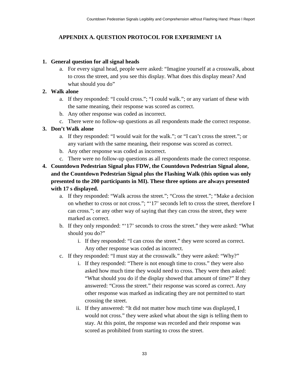### <span id="page-42-0"></span>**APPENDIX A. QUESTION PROTOCOL FOR EXPERIMENT 1A**

#### **1. General question for all signal heads**

a. For every signal head, people were asked: "Imagine yourself at a crosswalk, about to cross the street, and you see this display. What does this display mean? And what should you do"

#### **2. Walk alone**

- a. If they responded: "I could cross."; "I could walk."; or any variant of these with the same meaning, their response was scored as correct.
- b. Any other response was coded as incorrect.
- c. There were no follow-up questions as all respondents made the correct response.

#### **3. Don't Walk alone**

- a. If they responded: "I would wait for the walk."; or "I can't cross the street."; or any variant with the same meaning, their response was scored as correct.
- b. Any other response was coded as incorrect.
- c. There were no follow-up questions as all respondents made the correct response.
- **4. Countdown Pedestrian Signal plus FDW, the Countdown Pedestrian Signal alone, and the Countdown Pedestrian Signal plus the Flashing Walk (this option was only presented to the 200 participants in MI). These three options are always presented with 17 s displayed.**
	- a. If they responded: "Walk across the street."; "Cross the street."; "Make a decision on whether to cross or not cross."; "'17' seconds left to cross the street, therefore I can cross."; or any other way of saying that they can cross the street, they were marked as correct.
	- b. If they only responded: "'17' seconds to cross the street." they were asked: "What should you do?"
		- i. If they responded: "I can cross the street." they were scored as correct. Any other response was coded as incorrect.
	- c. If they responded: "I must stay at the crosswalk." they were asked: "Why?"
		- i. If they responded: "There is not enough time to cross." they were also asked how much time they would need to cross. They were then asked: "What should you do if the display showed that amount of time?" If they answered: "Cross the street." their response was scored as correct. Any other response was marked as indicating they are not permitted to start crossing the street.
		- ii. If they answered: "It did not matter how much time was displayed, I would not cross." they were asked what about the sign is telling them to stay. At this point, the response was recorded and their response was scored as prohibited from starting to cross the street.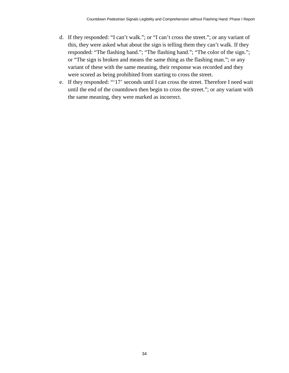- d. If they responded: "I can't walk."; or "I can't cross the street."; or any variant of this, they were asked what about the sign is telling them they can't walk. If they responded: "The flashing hand."; "The flashing hand."; "The color of the sign."; or "The sign is broken and means the same thing as the flashing man."; or any variant of these with the same meaning, their response was recorded and they were scored as being prohibited from starting to cross the street.
- e. If they responded: "'17' seconds until I can cross the street. Therefore I need wait until the end of the countdown then begin to cross the street."; or any variant with the same meaning, they were marked as incorrect.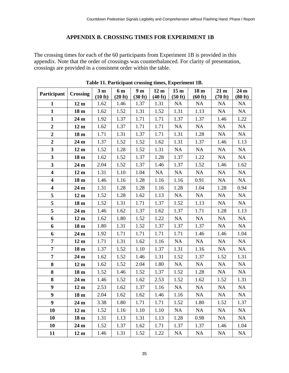#### **APPENDIX B. CROSSING TIMES FOR EXPERIMENT 1B**

<span id="page-44-0"></span>The crossing times for each of the 60 participants from Experiment 1B is provided in this appendix. Note that the order of crossings was counterbalanced. For clarity of presentation, crossings are provided in a consistent order within the table.

<span id="page-44-1"></span>

| Participant             | <b>Crossing</b> | 3 <sub>m</sub><br>(10 ft) | 6 m<br>(20 ft) | 9 <sub>m</sub><br>(30 ft) | 12 <sub>m</sub><br>(40 ft) | 15 <sub>m</sub><br>(50 ft) | 18 <sub>m</sub><br>(60 ft) | 21 <sub>m</sub><br>(70 ft) | 24 <sub>m</sub><br>(80 ft) |
|-------------------------|-----------------|---------------------------|----------------|---------------------------|----------------------------|----------------------------|----------------------------|----------------------------|----------------------------|
| $\mathbf{1}$            | 12 <sub>m</sub> | 1.62                      | 1.46           | 1.37                      | 1.31                       | NA                         | <b>NA</b>                  | <b>NA</b>                  | <b>NA</b>                  |
| $\mathbf{1}$            | 18 <sub>m</sub> | 1.62                      | 1.52           | 1.31                      | 1.52                       | 1.31                       | 1.13                       | NA                         | NA                         |
| $\mathbf{1}$            | $24\,\rm{m}$    | 1.92                      | 1.37           | 1.71                      | 1.71                       | 1.37                       | 1.37                       | 1.46                       | 1.22                       |
| $\overline{\mathbf{2}}$ | 12 <sub>m</sub> | 1.62                      | 1.37           | 1.71                      | 1.71                       | <b>NA</b>                  | <b>NA</b>                  | <b>NA</b>                  | <b>NA</b>                  |
| $\boldsymbol{2}$        | 18 <sub>m</sub> | 1.71                      | 1.31           | 1.37                      | 1.71                       | 1.31                       | 1.28                       | <b>NA</b>                  | NA                         |
| $\overline{2}$          | 24 <sub>m</sub> | 1.37                      | 1.52           | 1.52                      | 1.62                       | 1.31                       | 1.37                       | 1.46                       | 1.13                       |
| 3                       | 12 <sub>m</sub> | 1.52                      | 1.28           | 1.52                      | 1.31                       | <b>NA</b>                  | <b>NA</b>                  | <b>NA</b>                  | <b>NA</b>                  |
| 3                       | 18 <sub>m</sub> | 1.62                      | 1.52           | 1.37                      | 1.28                       | 1.37                       | 1.22                       | <b>NA</b>                  | NA                         |
| 3                       | 24 <sub>m</sub> | 2.04                      | 1.52           | 1.37                      | 1.46                       | 1.37                       | 1.52                       | 1.46                       | 1.62                       |
| $\overline{\mathbf{4}}$ | 12 <sub>m</sub> | 1.31                      | 1.10           | 1.04                      | <b>NA</b>                  | <b>NA</b>                  | <b>NA</b>                  | <b>NA</b>                  | <b>NA</b>                  |
| $\overline{\mathbf{4}}$ | 18 <sub>m</sub> | 1.46                      | 1.16           | 1.28                      | 1.16                       | 1.16                       | 0.91                       | <b>NA</b>                  | NA                         |
| $\overline{\mathbf{4}}$ | 24 m            | 1.31                      | 1.28           | 1.28                      | 1.16                       | 1.28                       | 1.04                       | 1.28                       | 0.94                       |
| 5                       | 12 <sub>m</sub> | 1.52                      | 1.28           | 1.62                      | 1.13                       | NA                         | NA                         | <b>NA</b>                  | NA                         |
| 5                       | 18 <sub>m</sub> | 1.52                      | 1.31           | 1.71                      | 1.37                       | 1.52                       | 1.13                       | <b>NA</b>                  | NA                         |
| 5                       | 24 <sub>m</sub> | 1.46                      | 1.62           | 1.37                      | 1.62                       | 1.37                       | 1.71                       | 1.28                       | 1.13                       |
| 6                       | 12 <sub>m</sub> | 1.62                      | 1.80           | 1.52                      | 1.22                       | NA                         | NA                         | <b>NA</b>                  | NA                         |
| 6                       | 18 <sub>m</sub> | 1.80                      | 1.31           | 1.52                      | 1.37                       | 1.37                       | 1.37                       | <b>NA</b>                  | <b>NA</b>                  |
| 6                       | 24 <sub>m</sub> | 1.92                      | 1.71           | 1.71                      | 1.71                       | 1.71                       | 1.46                       | 1.46                       | 1.04                       |
| $\overline{7}$          | 12 <sub>m</sub> | 1.71                      | 1.31           | 1.62                      | 1.16                       | NA                         | NA                         | NA                         | NA                         |
| $\overline{7}$          | 18 <sub>m</sub> | 1.37                      | 1.52           | 1.10                      | 1.37                       | 1.31                       | 1.16                       | <b>NA</b>                  | NA                         |
| $\overline{7}$          | 24 <sub>m</sub> | 1.62                      | 1.52           | 1.46                      | 1.31                       | 1.52                       | 1.37                       | 1.52                       | 1.31                       |
| 8                       | 12 <sub>m</sub> | 1.62                      | 1.52           | 2.04                      | 1.80                       | NA                         | NA                         | <b>NA</b>                  | NA                         |
| 8                       | 18 <sub>m</sub> | 1.52                      | 1.46           | 1.52                      | 1.37                       | 1.52                       | 1.28                       | <b>NA</b>                  | NA                         |
| 8                       | 24 <sub>m</sub> | 1.46                      | 1.52           | 1.62                      | 2.53                       | 1.52                       | 1.62                       | 1.52                       | 1.31                       |
| $\boldsymbol{9}$        | 12 <sub>m</sub> | 2.53                      | 1.62           | 1.37                      | 1.16                       | NA                         | NA                         | <b>NA</b>                  | NA                         |
| 9                       | 18 <sub>m</sub> | 2.04                      | 1.62           | 1.62                      | 1.46                       | 1.16                       | NA                         | NA                         | NA                         |
| 9                       | 24 <sub>m</sub> | 3.38                      | 1.80           | 1.71                      | 1.71                       | 1.52                       | 1.80                       | 1.52                       | 1.37                       |
| 10                      | 12 <sub>m</sub> | 1.52                      | 1.16           | 1.10                      | 1.10                       | <b>NA</b>                  | <b>NA</b>                  | <b>NA</b>                  | <b>NA</b>                  |
| 10                      | 18 <sub>m</sub> | 1.31                      | 1.13           | 1.31                      | 1.13                       | 1.28                       | 0.98                       | <b>NA</b>                  | <b>NA</b>                  |
| 10                      | 24 <sub>m</sub> | 1.52                      | 1.37           | 1.62                      | 1.71                       | 1.37                       | 1.37                       | 1.46                       | 1.04                       |
| 11                      | 12 <sub>m</sub> | 1.46                      | 1.31           | 1.52                      | 1.22                       | NA                         | <b>NA</b>                  | <b>NA</b>                  | <b>NA</b>                  |

**Table 11. Participant crossing times, Experiment 1B.**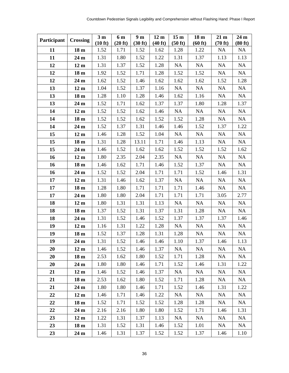| Participant | <b>Crossing</b> | 3 <sub>m</sub> | 6 m     | 9 <sub>m</sub> | 12 <sub>m</sub> | 15 <sub>m</sub> | 18 <sub>m</sub> | 21 <sub>m</sub> | 24 <sub>m</sub> |
|-------------|-----------------|----------------|---------|----------------|-----------------|-----------------|-----------------|-----------------|-----------------|
|             |                 | (10 ft)        | (20 ft) | (30 ft)        | (40 ft)         | (50 ft)         | (60 ft)         | (70 ft)         | (80 ft)         |
| 11          | 18 <sub>m</sub> | 1.52           | 1.71    | 1.52           | 1.62            | 1.28            | 1.22            | <b>NA</b>       | NA              |
| 11          | 24 <sub>m</sub> | 1.31           | 1.80    | 1.52           | 1.22            | 1.31            | 1.37            | 1.13            | 1.13            |
| 12          | 12 <sub>m</sub> | 1.31           | 1.37    | 1.52           | 1.28            | NA              | <b>NA</b>       | <b>NA</b>       | <b>NA</b>       |
| 12          | 18 <sub>m</sub> | 1.92           | 1.52    | 1.71           | 1.28            | 1.52            | 1.52            | <b>NA</b>       | <b>NA</b>       |
| 12          | 24 <sub>m</sub> | 1.62           | 1.52    | 1.46           | 1.62            | 1.62            | 1.62            | 1.52            | 1.28            |
| 13          | 12 <sub>m</sub> | 1.04           | 1.52    | 1.37           | 1.16            | <b>NA</b>       | <b>NA</b>       | <b>NA</b>       | <b>NA</b>       |
| 13          | 18 <sub>m</sub> | 1.28           | 1.10    | 1.28           | 1.46            | 1.62            | 1.16            | <b>NA</b>       | NA              |
| 13          | 24 <sub>m</sub> | 1.52           | 1.71    | 1.62           | 1.37            | 1.37            | 1.80            | 1.28            | 1.37            |
| 14          | 12 <sub>m</sub> | 1.52           | 1.52    | 1.62           | 1.46            | NA              | <b>NA</b>       | <b>NA</b>       | <b>NA</b>       |
| 14          | 18 <sub>m</sub> | 1.52           | 1.52    | 1.62           | 1.52            | 1.52            | 1.28            | <b>NA</b>       | <b>NA</b>       |
| 14          | 24 <sub>m</sub> | 1.52           | 1.37    | 1.31           | 1.46            | 1.46            | 1.52            | 1.37            | 1.22            |
| 15          | 12 <sub>m</sub> | 1.46           | 1.28    | 1.52           | 1.04            | NA              | NA              | <b>NA</b>       | NA              |
| 15          | 18 <sub>m</sub> | 1.31           | 1.28    | 13.11          | 1.71            | 1.46            | 1.13            | <b>NA</b>       | NA              |
| 15          | 24 <sub>m</sub> | 1.46           | 1.52    | 1.62           | 1.62            | 1.52            | 1.52            | 1.52            | 1.62            |
| 16          | 12 <sub>m</sub> | 1.80           | 2.35    | 2.04           | 2.35            | NA              | <b>NA</b>       | <b>NA</b>       | <b>NA</b>       |
| 16          | 18 <sub>m</sub> | 1.46           | 1.62    | 1.71           | 1.46            | 1.52            | 1.37            | <b>NA</b>       | NA              |
| 16          | 24 <sub>m</sub> | 1.52           | 1.52    | 2.04           | 1.71            | 1.71            | 1.52            | 1.46            | 1.31            |
| 17          | 12 <sub>m</sub> | 1.31           | 1.46    | 1.62           | 1.37            | <b>NA</b>       | NA              | <b>NA</b>       | NA              |
| 17          | 18 <sub>m</sub> | 1.28           | 1.80    | 1.71           | 1.71            | 1.71            | 1.46            | NA              | NA              |
| 17          | 24 <sub>m</sub> | 1.80           | 1.80    | 2.04           | 1.71            | 1.71            | 1.71            | 3.05            | 2.77            |
| 18          | 12 <sub>m</sub> | 1.80           | 1.31    | 1.31           | 1.13            | <b>NA</b>       | <b>NA</b>       | <b>NA</b>       | <b>NA</b>       |
| 18          | 18 <sub>m</sub> | 1.37           | 1.52    | 1.31           | 1.37            | 1.31            | 1.28            | <b>NA</b>       | NA              |
| 18          | 24 <sub>m</sub> | 1.31           | 1.52    | 1.46           | 1.52            | 1.37            | 1.37            | 1.37            | 1.46            |
| 19          | 12 <sub>m</sub> | 1.16           | 1.31    | 1.22           | 1.28            | <b>NA</b>       | <b>NA</b>       | NA              | <b>NA</b>       |
| 19          | 18 <sub>m</sub> | 1.52           | 1.37    | 1.28           | 1.31            | 1.28            | NA              | <b>NA</b>       | NA              |
| 19          | 24 <sub>m</sub> | 1.31           | 1.52    | 1.46           | 1.46            | 1.10            | 1.37            | 1.46            | 1.13            |
| 20          | 12 <sub>m</sub> | 1.46           | 1.52    | 1.46           | 1.37            | <b>NA</b>       | <b>NA</b>       | <b>NA</b>       | <b>NA</b>       |
| 20          | 18 <sub>m</sub> | 2.53           | 1.62    | 1.80           | 1.52            | 1.71            | 1.28            | <b>NA</b>       | <b>NA</b>       |
| 20          | 24 <sub>m</sub> | 1.80           | 1.80    | 1.46           | 1.71            | 1.52            | 1.46            | 1.31            | 1.22            |
| 21          | 12 <sub>m</sub> | 1.46           | 1.52    | 1.46           | 1.37            | NA              | <b>NA</b>       | <b>NA</b>       | <b>NA</b>       |
| 21          | 18 <sub>m</sub> | 2.53           | 1.62    | 1.80           | 1.52            | 1.71            | 1.28            | <b>NA</b>       | <b>NA</b>       |
| 21          | 24 <sub>m</sub> | 1.80           | 1.80    | 1.46           | 1.71            | 1.52            | 1.46            | 1.31            | 1.22            |
| 22          | 12 <sub>m</sub> | 1.46           | 1.71    | 1.46           | 1.22            | <b>NA</b>       | <b>NA</b>       | <b>NA</b>       | <b>NA</b>       |
| 22          | 18 <sub>m</sub> | 1.52           | 1.71    | 1.52           | 1.52            | 1.28            | 1.28            | NA              | NA              |
| 22          | 24 <sub>m</sub> | 2.16           | 2.16    | 1.80           | 1.80            | 1.52            | 1.71            | 1.46            | 1.31            |
| 23          | 12 <sub>m</sub> | 1.22           | 1.31    | 1.37           | 1.13            | NA              | NA              | <b>NA</b>       | <b>NA</b>       |
| 23          | 18 <sub>m</sub> | 1.31           | 1.52    | 1.31           | 1.46            | 1.52            | 1.01            | <b>NA</b>       | <b>NA</b>       |
| 23          | 24 <sub>m</sub> | 1.46           | 1.31    | 1.37           | 1.52            | 1.52            | 1.37            | 1.46            | 1.10            |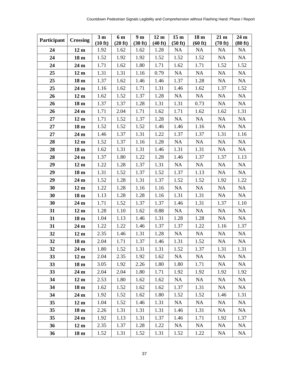| Participant | <b>Crossing</b> | 3 <sub>m</sub> | 6 m     | 9 <sub>m</sub> | 12 <sub>m</sub> | 15 <sub>m</sub> | 18 <sub>m</sub> | 21 <sub>m</sub> | 24 <sub>m</sub> |
|-------------|-----------------|----------------|---------|----------------|-----------------|-----------------|-----------------|-----------------|-----------------|
|             |                 | (10 ft)        | (20 ft) | (30 ft)        | (40 ft)         | (50 ft)         | (60 ft)         | (70 ft)         | (80 ft)         |
| 24          | 12 <sub>m</sub> | 1.92           | 1.62    | 1.62           | 1.28            | <b>NA</b>       | <b>NA</b>       | <b>NA</b>       | <b>NA</b>       |
| 24          | 18 <sub>m</sub> | 1.52           | 1.92    | 1.92           | 1.52            | 1.52            | 1.52            | NA              | NA              |
| 24          | 24 <sub>m</sub> | 1.71           | 1.62    | 1.80           | 1.71            | 1.62            | 1.71            | 1.52            | 1.52            |
| 25          | 12 <sub>m</sub> | 1.31           | 1.31    | 1.16           | 0.79            | <b>NA</b>       | <b>NA</b>       | <b>NA</b>       | <b>NA</b>       |
| 25          | 18 <sub>m</sub> | 1.37           | 1.62    | 1.46           | 1.46            | 1.37            | 1.28            | <b>NA</b>       | NA              |
| 25          | 24 <sub>m</sub> | 1.16           | 1.62    | 1.71           | 1.31            | 1.46            | 1.62            | 1.37            | 1.52            |
| 26          | 12 <sub>m</sub> | 1.62           | 1.52    | 1.37           | 1.28            | NA              | NA              | <b>NA</b>       | <b>NA</b>       |
| 26          | 18 <sub>m</sub> | 1.37           | 1.37    | 1.28           | 1.31            | 1.31            | 0.73            | NA              | <b>NA</b>       |
| 26          | 24 <sub>m</sub> | 1.71           | 2.04    | 1.71           | 1.62            | 1.71            | 1.62            | 1.62            | 1.31            |
| 27          | 12 <sub>m</sub> | 1.71           | 1.52    | 1.37           | 1.28            | <b>NA</b>       | <b>NA</b>       | <b>NA</b>       | <b>NA</b>       |
| 27          | 18 <sub>m</sub> | 1.52           | 1.52    | 1.52           | 1.46            | 1.46            | 1.16            | <b>NA</b>       | <b>NA</b>       |
| 27          | 24 <sub>m</sub> | 1.46           | 1.37    | 1.31           | 1.22            | 1.37            | 1.37            | 1.31            | 1.16            |
| 28          | 12 <sub>m</sub> | 1.52           | 1.37    | 1.16           | 1.28            | NA              | NA              | <b>NA</b>       | NA              |
| 28          | 18 <sub>m</sub> | 1.62           | 1.31    | 1.31           | 1.46            | 1.31            | 1.31            | <b>NA</b>       | <b>NA</b>       |
| 28          | 24 <sub>m</sub> | 1.37           | 1.80    | 1.22           | 1.28            | 1.46            | 1.37            | 1.37            | 1.13            |
| 29          | 12 <sub>m</sub> | 1.22           | 1.28    | 1.37           | 1.31            | NA              | NA              | <b>NA</b>       | <b>NA</b>       |
| 29          | 18 <sub>m</sub> | 1.31           | 1.52    | 1.37           | 1.52            | 1.37            | 1.13            | NA              | <b>NA</b>       |
| 29          | 24 <sub>m</sub> | 1.52           | 1.28    | 1.31           | 1.37            | 1.52            | 1.52            | 1.92            | 1.22            |
| 30          | 12 <sub>m</sub> | 1.22           | 1.28    | 1.16           | 1.16            | NA              | NA              | NA              | NA              |
| 30          | 18 <sub>m</sub> | 1.13           | 1.28    | 1.28           | 1.16            | 1.31            | 1.31            | <b>NA</b>       | <b>NA</b>       |
| 30          | 24 <sub>m</sub> | 1.71           | 1.52    | 1.37           | 1.37            | 1.46            | 1.31            | 1.37            | 1.10            |
| 31          | 12 <sub>m</sub> | 1.28           | 1.10    | 1.62           | 0.88            | <b>NA</b>       | NA              | <b>NA</b>       | NA              |
| 31          | 18 <sub>m</sub> | 1.04           | 1.13    | 1.46           | 1.31            | 1.28            | 1.28            | <b>NA</b>       | <b>NA</b>       |
| 31          | 24 <sub>m</sub> | 1.22           | 1.22    | 1.46           | 1.37            | 1.37            | 1.22            | 1.16            | 1.37            |
| 32          | 12 <sub>m</sub> | 2.35           | 1.46    | 1.31           | 1.28            | NA              | NA              | <b>NA</b>       | NA              |
| 32          | 18 <sub>m</sub> | 2.04           | 1.71    | 1.37           | 1.46            | 1.31            | 1.52            | <b>NA</b>       | NA              |
| 32          | 24 <sub>m</sub> | 1.80           | 1.52    | 1.31           | 1.31            | 1.52            | 1.37            | 1.31            | 1.31            |
| 33          | 12 <sub>m</sub> | 2.04           | 2.35    | 1.92           | 1.62            | <b>NA</b>       | <b>NA</b>       | <b>NA</b>       | <b>NA</b>       |
| 33          | 18 <sub>m</sub> | 3.05           | 1.92    | 2.26           | 1.80            | 1.80            | 1.71            | <b>NA</b>       | <b>NA</b>       |
| 33          | 24 <sub>m</sub> | 2.04           | 2.04    | 1.80           | 1.71            | 1.92            | 1.92            | 1.92            | 1.92            |
| 34          | 12 <sub>m</sub> | 2.53           | 1.80    | 1.62           | 1.62            | NA              | <b>NA</b>       | <b>NA</b>       | <b>NA</b>       |
| 34          | 18 <sub>m</sub> | 1.62           | 1.52    | 1.62           | 1.62            | 1.37            | 1.31            | NA              | <b>NA</b>       |
| 34          | 24 <sub>m</sub> | 1.92           | 1.52    | 1.62           | 1.80            | 1.52            | 1.52            | 1.46            | 1.31            |
| 35          | 12 <sub>m</sub> | 1.04           | 1.52    | 1.46           | 1.31            | <b>NA</b>       | <b>NA</b>       | NA              | NA              |
| 35          | 18 <sub>m</sub> | 2.26           | 1.31    | 1.31           | 1.31            | 1.46            | 1.31            | NA              | <b>NA</b>       |
| 35          | 24 <sub>m</sub> | 1.92           | 1.13    | 1.31           | 1.37            | 1.46            | 1.71            | 1.92            | 1.37            |
| 36          | 12 <sub>m</sub> | 2.35           | 1.37    | 1.28           | 1.22            | NA              | <b>NA</b>       | <b>NA</b>       | <b>NA</b>       |
| 36          | 18 <sub>m</sub> | 1.52           | 1.31    | 1.52           | 1.31            | 1.52            | 1.22            | <b>NA</b>       | <b>NA</b>       |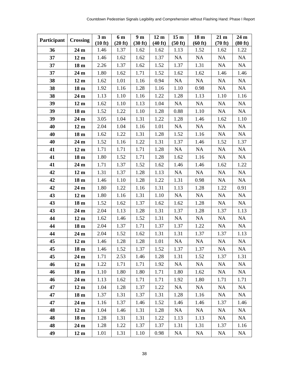| Participant | <b>Crossing</b> | 3 <sub>m</sub> | 6 m     | 9 <sub>m</sub> | 12 <sub>m</sub> | 15 <sub>m</sub> | 18 <sub>m</sub> | 21 <sub>m</sub> | 24 <sub>m</sub> |
|-------------|-----------------|----------------|---------|----------------|-----------------|-----------------|-----------------|-----------------|-----------------|
|             |                 | (10 ft)        | (20 ft) | (30 ft)        | (40 ft)         | (50 ft)         | (60 ft)         | (70 ft)         | (80 ft)         |
| 36          | 24 <sub>m</sub> | 1.46           | 1.37    | 1.62           | 1.62            | 1.13            | 1.52            | 1.62            | 1.22            |
| 37          | 12 <sub>m</sub> | 1.46           | 1.62    | 1.62           | 1.37            | NA              | NA              | <b>NA</b>       | NA              |
| 37          | 18 <sub>m</sub> | 2.26           | 1.37    | 1.62           | 1.52            | 1.37            | 1.31            | <b>NA</b>       | <b>NA</b>       |
| 37          | 24 <sub>m</sub> | 1.80           | 1.62    | 1.71           | 1.52            | 1.62            | 1.62            | 1.46            | 1.46            |
| 38          | 12 <sub>m</sub> | 1.62           | 1.01    | 1.16           | 0.94            | NA              | NA              | <b>NA</b>       | NA              |
| 38          | 18 <sub>m</sub> | 1.92           | 1.16    | 1.28           | 1.16            | 1.10            | 0.98            | <b>NA</b>       | NA              |
| 38          | 24 m            | 1.13           | 1.10    | 1.16           | 1.22            | 1.28            | 1.13            | 1.10            | 1.16            |
| 39          | 12 <sub>m</sub> | 1.62           | 1.10    | 1.13           | 1.04            | NA              | NA              | NA              | <b>NA</b>       |
| 39          | 18 <sub>m</sub> | 1.52           | 1.22    | 1.10           | 1.28            | 0.88            | 1.10            | <b>NA</b>       | NA              |
| 39          | 24 m            | 3.05           | 1.04    | 1.31           | 1.22            | 1.28            | 1.46            | 1.62            | 1.10            |
| 40          | 12 <sub>m</sub> | 2.04           | 1.04    | 1.16           | 1.01            | NA              | <b>NA</b>       | <b>NA</b>       | <b>NA</b>       |
| 40          | 18 <sub>m</sub> | 1.62           | 1.22    | 1.31           | 1.28            | 1.52            | 1.16            | <b>NA</b>       | NA              |
| 40          | 24 m            | 1.52           | 1.16    | 1.22           | 1.31            | 1.37            | 1.46            | 1.52            | 1.37            |
| 41          | 12 <sub>m</sub> | 1.71           | 1.71    | 1.71           | 1.28            | NA              | <b>NA</b>       | <b>NA</b>       | <b>NA</b>       |
| 41          | 18 <sub>m</sub> | 1.80           | 1.52    | 1.71           | 1.28            | 1.62            | 1.16            | <b>NA</b>       | <b>NA</b>       |
| 41          | 24 <sub>m</sub> | 1.71           | 1.37    | 1.52           | 1.62            | 1.46            | 1.46            | 1.62            | 1.22            |
| 42          | 12 <sub>m</sub> | 1.31           | 1.37    | 1.28           | 1.13            | <b>NA</b>       | <b>NA</b>       | NA              | <b>NA</b>       |
| 42          | 18 <sub>m</sub> | 1.46           | 1.10    | 1.28           | 1.22            | 1.31            | 0.98            | <b>NA</b>       | NA              |
| 42          | 24 <sub>m</sub> | 1.80           | 1.22    | 1.16           | 1.31            | 1.13            | 1.28            | 1.22            | 0.91            |
| 43          | $12 \text{ m}$  | 1.80           | 1.16    | 1.31           | 1.10            | NA              | <b>NA</b>       | <b>NA</b>       | <b>NA</b>       |
| 43          | 18 <sub>m</sub> | 1.52           | 1.62    | 1.37           | 1.62            | 1.62            | 1.28            | <b>NA</b>       | <b>NA</b>       |
| 43          | 24 <sub>m</sub> | 2.04           | 1.13    | 1.28           | 1.31            | 1.37            | 1.28            | 1.37            | 1.13            |
| 44          | 12 <sub>m</sub> | 1.62           | 1.46    | 1.52           | 1.31            | NA              | <b>NA</b>       | <b>NA</b>       | <b>NA</b>       |
| 44          | 18 <sub>m</sub> | 2.04           | 1.37    | 1.71           | 1.37            | 1.37            | 1.22            | NA              | <b>NA</b>       |
| 44          | 24 <sub>m</sub> | 2.04           | 1.52    | 1.62           | 1.31            | 1.31            | 1.37            | 1.37            | 1.13            |
| 45          | 12 <sub>m</sub> | 1.46           | 1.28    | 1.28           | 1.01            | NA              | <b>NA</b>       | <b>NA</b>       | NA              |
| 45          | 18 <sub>m</sub> | 1.46           | 1.52    | 1.37           | 1.52            | 1.37            | 1.37            | <b>NA</b>       | <b>NA</b>       |
| 45          | 24 <sub>m</sub> | 1.71           | 2.53    | 1.46           | 1.28            | 1.31            | 1.52            | 1.37            | 1.31            |
| 46          | 12 <sub>m</sub> | 1.22           | 1.71    | 1.71           | 1.92            | NA              | NA              | <b>NA</b>       | <b>NA</b>       |
| 46          | 18 <sub>m</sub> | 1.10           | 1.80    | 1.80           | 1.71            | 1.80            | 1.62            | <b>NA</b>       | <b>NA</b>       |
| 46          | 24 <sub>m</sub> | 1.13           | 1.62    | 1.71           | 1.71            | 1.92            | 1.80            | 1.71            | 1.71            |
| 47          | 12 <sub>m</sub> | 1.04           | 1.28    | 1.37           | 1.22            | NA              | <b>NA</b>       | NA              | <b>NA</b>       |
| 47          | 18 <sub>m</sub> | 1.37           | 1.31    | 1.37           | 1.31            | 1.28            | 1.16            | <b>NA</b>       | <b>NA</b>       |
| 47          | 24 <sub>m</sub> | 1.16           | 1.37    | 1.46           | 1.52            | 1.46            | 1.46            | 1.37            | 1.46            |
| 48          | 12 <sub>m</sub> | 1.04           | 1.46    | 1.31           | 1.28            | NA              | <b>NA</b>       | <b>NA</b>       | <b>NA</b>       |
| 48          | 18 <sub>m</sub> | 1.28           | 1.31    | 1.31           | 1.22            | 1.13            | 1.13            | <b>NA</b>       | NA              |
| 48          | 24 <sub>m</sub> | 1.28           | 1.22    | 1.37           | 1.37            | 1.31            | 1.31            | 1.37            | 1.16            |
| 49          | 12 <sub>m</sub> | 1.01           | 1.31    | 1.10           | 0.98            | <b>NA</b>       | NA              | <b>NA</b>       | <b>NA</b>       |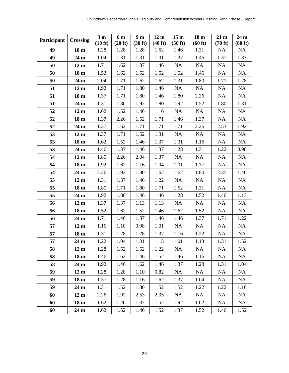| Participant | <b>Crossing</b> | 3 <sub>m</sub><br>(10 ft) | 6 m<br>(20 ft) | 9 <sub>m</sub><br>(30 ft) | 12 <sub>m</sub><br>(40 ft) | 15 <sub>m</sub><br>(50 ft) | 18 <sub>m</sub><br>(60 ft) | 21 <sub>m</sub><br>(70 ft) | 24 m<br>(80 ft) |
|-------------|-----------------|---------------------------|----------------|---------------------------|----------------------------|----------------------------|----------------------------|----------------------------|-----------------|
| 49          | 18 <sub>m</sub> | 1.28                      | 1.28           | 1.28                      | 1.62                       | 1.46                       | 1.31                       | <b>NA</b>                  | <b>NA</b>       |
| 49          | 24 <sub>m</sub> | 1.04                      | 1.31           | 1.31                      | 1.31                       | 1.37                       | 1.46                       | 1.37                       | 1.37            |
| 50          | 12 <sub>m</sub> | 1.71                      | 1.62           | 1.37                      | 1.46                       | <b>NA</b>                  | <b>NA</b>                  | <b>NA</b>                  | <b>NA</b>       |
| 50          | 18 <sub>m</sub> | 1.52                      | 1.62           | 1.52                      | 1.52                       | 1.52                       | 1.46                       | <b>NA</b>                  | <b>NA</b>       |
| 50          | 24 <sub>m</sub> | 2.04                      | 1.71           | 1.62                      | 1.62                       | 1.31                       | 1.80                       | 1.71                       | 1.28            |
| 51          | 12 <sub>m</sub> | 1.92                      | 1.71           | 1.80                      | 1.46                       | NA                         | <b>NA</b>                  | <b>NA</b>                  | <b>NA</b>       |
| 51          | 18 <sub>m</sub> | 1.37                      | 1.71           | 1.80                      | 1.46                       | 1.80                       | 2.26                       | NA                         | <b>NA</b>       |
| 51          | 24 <sub>m</sub> | 1.31                      | 1.80           | 1.92                      | 1.80                       | 1.92                       | 1.52                       | 1.80                       | 1.31            |
| 52          | 12 <sub>m</sub> | 1.62                      | 1.52           | 1.46                      | 1.16                       | NA                         | <b>NA</b>                  | <b>NA</b>                  | NA              |
| 52          | 18 <sub>m</sub> | 1.37                      | 2.26           | 1.52                      | 1.71                       | 1.46                       | 1.37                       | <b>NA</b>                  | <b>NA</b>       |
| 52          | 24 <sub>m</sub> | 1.37                      | 1.62           | 1.71                      | 1.71                       | 1.71                       | 2.26                       | 2.53                       | 1.92            |
| 53          | 12 <sub>m</sub> | 1.37                      | 1.71           | 1.52                      | 1.31                       | <b>NA</b>                  | <b>NA</b>                  | <b>NA</b>                  | <b>NA</b>       |
| 53          | 18 <sub>m</sub> | 1.62                      | 1.52           | 1.46                      | 1.37                       | 1.31                       | 1.16                       | <b>NA</b>                  | NA              |
| 53          | 24 <sub>m</sub> | 1.46                      | 1.37           | 1.46                      | 1.37                       | 1.28                       | 1.31                       | 1.22                       | 0.98            |
| 54          | 12 <sub>m</sub> | 1.80                      | 2.26           | 2.04                      | 1.37                       | <b>NA</b>                  | <b>NA</b>                  | <b>NA</b>                  | NA              |
| 54          | 18 <sub>m</sub> | 1.92                      | 1.62           | 1.16                      | 1.04                       | 1.01                       | 1.37                       | <b>NA</b>                  | NA              |
| 54          | 24 <sub>m</sub> | 2.26                      | 1.92           | 1.80                      | 1.62                       | 1.62                       | 1.80                       | 2.35                       | 1.46            |
| 55          | 12 <sub>m</sub> | 1.31                      | 1.37           | 1.46                      | 1.22                       | <b>NA</b>                  | <b>NA</b>                  | <b>NA</b>                  | <b>NA</b>       |
| 55          | 18 <sub>m</sub> | 1.80                      | 1.71           | 1.80                      | 1.71                       | 1.62                       | 1.31                       | <b>NA</b>                  | NA              |
| 55          | 24 m            | 1.92                      | 1.80           | 1.46                      | 1.46                       | 1.28                       | 1.52                       | 1.46                       | 1.13            |
| 56          | 12 <sub>m</sub> | 1.37                      | 1.37           | 1.13                      | 1.13                       | <b>NA</b>                  | <b>NA</b>                  | <b>NA</b>                  | <b>NA</b>       |
| 56          | 18 <sub>m</sub> | 1.52                      | 1.62           | 1.52                      | 1.46                       | 1.62                       | 1.52                       | <b>NA</b>                  | NA              |
| 56          | 24 <sub>m</sub> | 1.71                      | 1.46           | 1.37                      | 1.46                       | 1.46                       | 1.37                       | 1.71                       | 1.22            |
| 57          | 12 <sub>m</sub> | 1.16                      | 1.10           | 0.98                      | 1.01                       | NA                         | <b>NA</b>                  | <b>NA</b>                  | <b>NA</b>       |
| 57          | 18 <sub>m</sub> | 1.31                      | 1.28           | 1.28                      | 1.37                       | 1.16                       | 1.22                       | <b>NA</b>                  | $\rm NA$        |
| 57          | 24 m            | 1.22                      | 1.04           | 1.01                      | 1.13                       | 1.01                       | 1.13                       | 1.31                       | 1.52            |
| 58          | 12 <sub>m</sub> | 1.28                      | 1.52           | 1.52                      | 1.22                       | <b>NA</b>                  | <b>NA</b>                  | <b>NA</b>                  | <b>NA</b>       |
| 58          | 18 <sub>m</sub> | 1.46                      | 1.62           | 1.46                      | 1.52                       | 1.46                       | 1.16                       | <b>NA</b>                  | <b>NA</b>       |
| 58          | 24 <sub>m</sub> | 1.92                      | 1.46           | 1.62                      | 1.46                       | 1.37                       | 1.28                       | 1.31                       | 1.04            |
| 59          | 12 <sub>m</sub> | 1.28                      | 1.28           | 1.10                      | 0.82                       | <b>NA</b>                  | <b>NA</b>                  | <b>NA</b>                  | <b>NA</b>       |
| 59          | 18 <sub>m</sub> | 1.37                      | 1.28           | 1.16                      | 1.62                       | 1.37                       | 1.04                       | NA                         | NA              |
| 59          | 24 <sub>m</sub> | 1.31                      | 1.52           | 1.80                      | 1.52                       | 1.52                       | 1.22                       | 1.22                       | 1.16            |
| 60          | 12 <sub>m</sub> | 2.26                      | 1.92           | 2.53                      | 2.35                       | <b>NA</b>                  | <b>NA</b>                  | <b>NA</b>                  | <b>NA</b>       |
| 60          | 18 <sub>m</sub> | 1.62                      | 1.46           | 1.37                      | 1.52                       | 1.92                       | 1.62                       | NA                         | NA              |
| 60          | 24 <sub>m</sub> | 1.62                      | 1.52           | 1.46                      | 1.52                       | 1.37                       | 1.52                       | 1.46                       | 1.52            |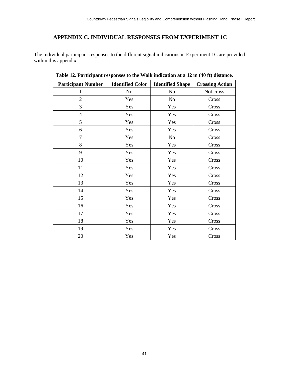## **APPENDIX C. INDIVIDUAL RESPONSES FROM EXPERIMENT 1C**

<span id="page-50-1"></span><span id="page-50-0"></span>The individual participant responses to the different signal indications in Experiment 1C are provided within this appendix.

| <b>Participant Number</b> | <b>Identified Color</b> | <b>Identified Shape</b> | <b>Crossing Action</b> |
|---------------------------|-------------------------|-------------------------|------------------------|
| 1                         | N <sub>0</sub>          | N <sub>o</sub>          | Not cross              |
| $\overline{2}$            | Yes                     | No                      | Cross                  |
| 3                         | Yes                     | Yes                     | Cross                  |
| $\overline{4}$            | Yes                     | Yes                     | Cross                  |
| 5                         | Yes                     | Yes                     | Cross                  |
| 6                         | Yes                     | Yes                     | Cross                  |
| $\tau$                    | Yes                     | N <sub>o</sub>          | Cross                  |
| 8                         | Yes                     | Yes                     | Cross                  |
| 9                         | Yes                     | Yes                     | Cross                  |
| 10                        | Yes                     | Yes                     | Cross                  |
| 11                        | Yes                     | Yes                     | Cross                  |
| 12                        | Yes                     | Yes                     | Cross                  |
| 13                        | Yes                     | Yes                     | Cross                  |
| 14                        | Yes                     | Yes                     | Cross                  |
| 15                        | Yes                     | Yes                     | Cross                  |
| 16                        | Yes                     | Yes                     | Cross                  |
| 17                        | Yes                     | Yes                     | Cross                  |
| 18                        | Yes                     | Yes                     | Cross                  |
| 19                        | Yes                     | Yes                     | Cross                  |
| 20                        | Yes                     | Yes                     | Cross                  |

**Table 12. Participant responses to the Walk indication at a 12 m (40 ft) distance.**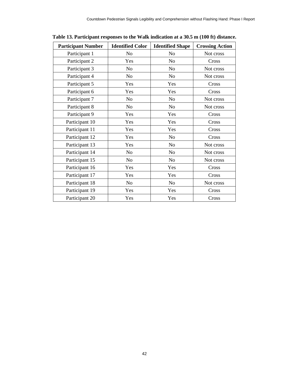| <b>Participant Number</b> | <b>Identified Color</b> | <b>Identified Shape</b> | <b>Crossing Action</b> |
|---------------------------|-------------------------|-------------------------|------------------------|
| Participant 1             | N <sub>o</sub>          | N <sub>o</sub>          | Not cross              |
| Participant 2             | Yes                     | N <sub>o</sub>          | Cross                  |
| Participant 3             | N <sub>0</sub>          | No                      | Not cross              |
| Participant 4             | N <sub>o</sub>          | N <sub>o</sub>          | Not cross              |
| Participant 5             | Yes                     | Yes                     | Cross                  |
| Participant 6             | Yes                     | Yes                     | Cross                  |
| Participant 7             | N <sub>0</sub>          | N <sub>o</sub>          | Not cross              |
| Participant 8             | N <sub>o</sub>          | N <sub>o</sub>          | Not cross              |
| Participant 9             | Yes                     | Yes                     | Cross                  |
| Participant 10            | Yes                     | Yes                     | Cross                  |
| Participant 11            | Yes                     | Yes                     | Cross                  |
| Participant 12            | Yes                     | No                      | Cross                  |
| Participant 13            | Yes                     | No                      | Not cross              |
| Participant 14            | N <sub>o</sub>          | No                      | Not cross              |
| Participant 15            | No                      | N <sub>o</sub>          | Not cross              |
| Participant 16            | Yes                     | Yes                     | Cross                  |
| Participant 17            | Yes                     | Yes                     | Cross                  |
| Participant 18            | N <sub>o</sub>          | N <sub>o</sub>          | Not cross              |
| Participant 19            | Yes                     | Yes                     | Cross                  |
| Participant 20            | Yes                     | Yes                     | Cross                  |

<span id="page-51-0"></span>**Table 13. Participant responses to the Walk indication at a 30.5 m (100 ft) distance.**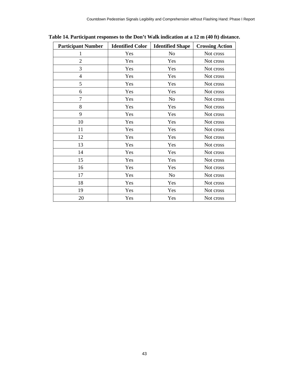| <b>Participant Number</b> | <b>Identified Color</b> | <b>Identified Shape</b> | <b>Crossing Action</b> |
|---------------------------|-------------------------|-------------------------|------------------------|
| 1                         | Yes                     | N <sub>o</sub>          | Not cross              |
| $\overline{2}$            | Yes                     | Yes                     | Not cross              |
| 3                         | Yes                     | Yes                     | Not cross              |
| $\overline{4}$            | Yes                     | Yes                     | Not cross              |
| 5                         | Yes                     | Yes                     | Not cross              |
| 6                         | Yes                     | Yes                     | Not cross              |
| $\overline{7}$            | Yes                     | N <sub>o</sub>          | Not cross              |
| 8                         | Yes                     | Yes                     | Not cross              |
| 9                         | Yes                     | Yes                     | Not cross              |
| 10                        | Yes                     | Yes                     | Not cross              |
| 11                        | Yes                     | Yes                     | Not cross              |
| 12                        | Yes                     | Yes                     | Not cross              |
| 13                        | Yes                     | Yes                     | Not cross              |
| 14                        | Yes                     | Yes                     | Not cross              |
| 15                        | Yes                     | Yes                     | Not cross              |
| 16                        | Yes                     | Yes                     | Not cross              |
| 17                        | Yes                     | N <sub>o</sub>          | Not cross              |
| 18                        | Yes                     | Yes                     | Not cross              |
| 19                        | Yes                     | Yes                     | Not cross              |
| 20                        | Yes                     | Yes                     | Not cross              |

<span id="page-52-0"></span>**Table 14. Participant responses to the Don't Walk indication at a 12 m (40 ft) distance.**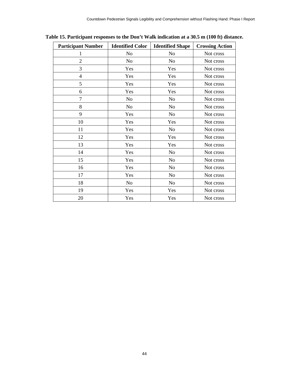| <b>Participant Number</b> | <b>Identified Color</b> | <b>Identified Shape</b> | <b>Crossing Action</b> |
|---------------------------|-------------------------|-------------------------|------------------------|
| 1                         | No                      | No                      | Not cross              |
| $\overline{2}$            | No                      | No                      | Not cross              |
| 3                         | Yes                     | Yes                     | Not cross              |
| $\overline{4}$            | Yes                     | Yes                     | Not cross              |
| 5                         | Yes                     | Yes                     | Not cross              |
| 6                         | Yes                     | Yes                     | Not cross              |
| 7                         | No                      | N <sub>o</sub>          | Not cross              |
| 8                         | No                      | N <sub>o</sub>          | Not cross              |
| 9                         | Yes                     | N <sub>o</sub>          | Not cross              |
| 10                        | Yes                     | Yes                     | Not cross              |
| 11                        | Yes                     | N <sub>o</sub>          | Not cross              |
| 12                        | Yes                     | Yes                     | Not cross              |
| 13                        | Yes                     | Yes                     | Not cross              |
| 14                        | Yes                     | N <sub>o</sub>          | Not cross              |
| 15                        | Yes                     | N <sub>o</sub>          | Not cross              |
| 16                        | Yes                     | No                      | Not cross              |
| 17                        | Yes                     | N <sub>o</sub>          | Not cross              |
| 18                        | N <sub>o</sub>          | N <sub>o</sub>          | Not cross              |
| 19                        | Yes                     | Yes                     | Not cross              |
| 20                        | Yes                     | Yes                     | Not cross              |

<span id="page-53-0"></span>**Table 15. Participant responses to the Don't Walk indication at a 30.5 m (100 ft) distance.**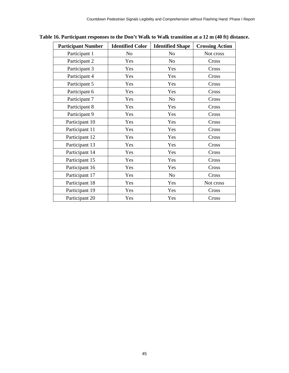| <b>Participant Number</b> | <b>Identified Color</b> | <b>Identified Shape</b> | <b>Crossing Action</b> |
|---------------------------|-------------------------|-------------------------|------------------------|
| Participant 1             | N <sub>0</sub>          | N <sub>o</sub>          | Not cross              |
| Participant 2             | Yes                     | N <sub>o</sub>          | Cross                  |
| Participant 3             | Yes                     | Yes                     | Cross                  |
| Participant 4             | Yes                     | Yes                     | Cross                  |
| Participant 5             | Yes                     | Yes                     | Cross                  |
| Participant 6             | Yes                     | Yes                     | Cross                  |
| Participant 7             | Yes                     | N <sub>o</sub>          | Cross                  |
| Participant 8             | Yes                     | Yes                     | Cross                  |
| Participant 9             | Yes                     | Yes                     | Cross                  |
| Participant 10            | Yes                     | Yes                     | Cross                  |
| Participant 11            | Yes                     | Yes                     | Cross                  |
| Participant 12            | Yes                     | Yes                     | Cross                  |
| Participant 13            | Yes                     | Yes                     | Cross                  |
| Participant 14            | Yes                     | Yes                     | Cross                  |
| Participant 15            | Yes                     | Yes                     | Cross                  |
| Participant 16            | Yes                     | Yes                     | Cross                  |
| Participant 17            | Yes                     | N <sub>o</sub>          | Cross                  |
| Participant 18            | Yes                     | Yes                     | Not cross              |
| Participant 19            | Yes                     | Yes                     | Cross                  |
| Participant 20            | Yes                     | Yes                     | Cross                  |

#### <span id="page-54-0"></span>**Table 16. Participant responses to the Don't Walk to Walk transition at a 12 m (40 ft) distance.**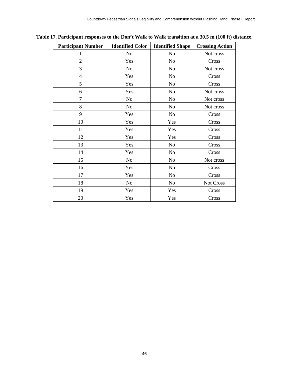| <b>Participant Number</b> | <b>Identified Color</b> | <b>Identified Shape</b> | <b>Crossing Action</b> |
|---------------------------|-------------------------|-------------------------|------------------------|
| 1                         | N <sub>0</sub>          | No                      | Not cross              |
| $\overline{2}$            | Yes                     | No                      | Cross                  |
| 3                         | N <sub>0</sub>          | N <sub>o</sub>          | Not cross              |
| $\overline{4}$            | Yes                     | N <sub>o</sub>          | Cross                  |
| 5                         | Yes                     | N <sub>o</sub>          | Cross                  |
| 6                         | Yes                     | N <sub>o</sub>          | Not cross              |
| $\overline{7}$            | N <sub>0</sub>          | No                      | Not cross              |
| 8                         | N <sub>0</sub>          | No                      | Not cross              |
| 9                         | Yes                     | No                      | Cross                  |
| 10                        | Yes                     | Yes                     | Cross                  |
| 11                        | Yes                     | Yes                     | Cross                  |
| 12                        | Yes                     | Yes                     | Cross                  |
| 13                        | Yes                     | No                      | Cross                  |
| 14                        | Yes                     | N <sub>o</sub>          | Cross                  |
| 15                        | No                      | No                      | Not cross              |
| 16                        | Yes                     | No                      | Cross                  |
| 17                        | Yes                     | No                      | Cross                  |
| 18                        | N <sub>o</sub>          | No                      | Not Cross              |
| 19                        | Yes                     | Yes                     | Cross                  |
| 20                        | Yes                     | Yes                     | Cross                  |

<span id="page-55-0"></span>**Table 17. Participant responses to the Don't Walk to Walk transition at a 30.5 m (100 ft) distance.**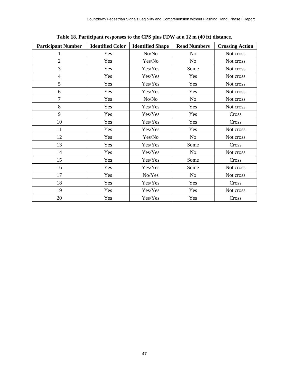<span id="page-56-0"></span>

| <b>Participant Number</b> | <b>Identified Color</b> | <b>Identified Shape</b> | <b>Read Numbers</b> | <b>Crossing Action</b> |
|---------------------------|-------------------------|-------------------------|---------------------|------------------------|
|                           | Yes                     | No/No                   | No                  | Not cross              |
| $\overline{2}$            | Yes                     | Yes/No                  | N <sub>o</sub>      | Not cross              |
| 3                         | Yes                     | Yes/Yes                 | Some                | Not cross              |
| $\overline{4}$            | Yes                     | Yes/Yes                 | Yes                 | Not cross              |
| 5                         | Yes                     | Yes/Yes                 | Yes                 | Not cross              |
| 6                         | Yes                     | Yes/Yes                 | Yes                 | Not cross              |
| $\overline{7}$            | Yes                     | No/No                   | N <sub>o</sub>      | Not cross              |
| 8                         | Yes                     | Yes/Yes                 | Yes                 | Not cross              |
| 9                         | Yes                     | Yes/Yes                 | Yes                 | Cross                  |
| 10                        | Yes                     | Yes/Yes                 | Yes                 | Cross                  |
| 11                        | Yes                     | Yes/Yes                 | Yes                 | Not cross              |
| 12                        | Yes                     | Yes/No                  | N <sub>0</sub>      | Not cross              |
| 13                        | Yes                     | Yes/Yes                 | Some                | Cross                  |
| 14                        | Yes                     | Yes/Yes                 | No                  | Not cross              |
| 15                        | Yes                     | Yes/Yes                 | Some                | Cross                  |
| 16                        | Yes                     | Yes/Yes                 | Some                | Not cross              |
| 17                        | Yes                     | No/Yes                  | N <sub>o</sub>      | Not cross              |
| 18                        | Yes                     | Yes/Yes                 | Yes                 | Cross                  |
| 19                        | Yes                     | Yes/Yes                 | Yes                 | Not cross              |
| 20                        | Yes                     | Yes/Yes                 | Yes                 | Cross                  |

**Table 18. Participant responses to the CPS plus FDW at a 12 m (40 ft) distance.**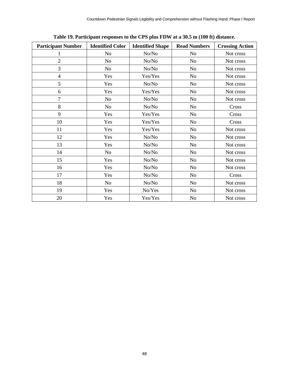<span id="page-57-0"></span>

| <b>Participant Number</b> | <b>Identified Color</b> | <b>Identified Shape</b> | <b>Read Numbers</b> | <b>Crossing Action</b> |
|---------------------------|-------------------------|-------------------------|---------------------|------------------------|
|                           | N <sub>0</sub>          | No/No                   | N <sub>o</sub>      | Not cross              |
| $\overline{2}$            | No.                     | No/No                   | N <sub>o</sub>      | Not cross              |
| 3                         | No                      | No/No                   | N <sub>o</sub>      | Not cross              |
| $\overline{4}$            | Yes                     | Yes/Yes                 | N <sub>o</sub>      | Not cross              |
| 5                         | Yes                     | No/No                   | N <sub>o</sub>      | Not cross              |
| 6                         | Yes                     | Yes/Yes                 | N <sub>o</sub>      | Not cross              |
| $\overline{7}$            | No                      | No/No                   | N <sub>0</sub>      | Not cross              |
| 8                         | No.                     | No/No                   | N <sub>o</sub>      | Cross                  |
| 9                         | Yes                     | Yes/Yes                 | N <sub>o</sub>      | Cross                  |
| 10                        | Yes                     | Yes/Yes                 | N <sub>0</sub>      | Cross                  |
| 11                        | Yes                     | Yes/Yes                 | N <sub>o</sub>      | Not cross              |
| 12                        | Yes                     | No/No                   | N <sub>o</sub>      | Not cross              |
| 13                        | Yes                     | No/No                   | No                  | Not cross              |
| 14                        | No                      | No/No                   | N <sub>0</sub>      | Not cross              |
| 15                        | Yes                     | No/No                   | N <sub>o</sub>      | Not cross              |
| 16                        | Yes                     | No/No                   | N <sub>o</sub>      | Not cross              |
| 17                        | Yes                     | No/No                   | N <sub>o</sub>      | Cross                  |
| 18                        | No                      | No/No                   | N <sub>0</sub>      | Not cross              |
| 19                        | Yes                     | No/Yes                  | N <sub>0</sub>      | Not cross              |
| 20                        | Yes                     | Yes/Yes                 | N <sub>o</sub>      | Not cross              |

**Table 19. Participant responses to the CPS plus FDW at a 30.5 m (100 ft) distance.**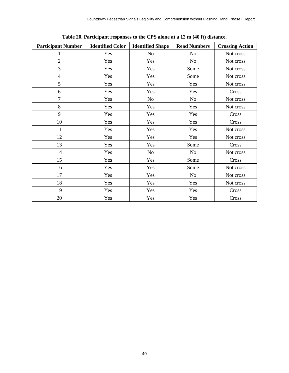<span id="page-58-0"></span>

| <b>Participant Number</b> | <b>Identified Color</b> | <b>Identified Shape</b> | <b>Read Numbers</b> | <b>Crossing Action</b> |
|---------------------------|-------------------------|-------------------------|---------------------|------------------------|
|                           | Yes                     | N <sub>o</sub>          | N <sub>o</sub>      | Not cross              |
| $\overline{2}$            | Yes                     | Yes                     | No                  | Not cross              |
| 3                         | Yes                     | Yes                     | Some                | Not cross              |
| $\overline{4}$            | Yes                     | Yes                     | Some                | Not cross              |
| 5                         | Yes                     | Yes                     | Yes                 | Not cross              |
| 6                         | Yes                     | Yes                     | Yes                 | Cross                  |
| $\overline{7}$            | Yes                     | No                      | N <sub>o</sub>      | Not cross              |
| 8                         | Yes                     | Yes                     | Yes                 | Not cross              |
| 9                         | Yes                     | Yes                     | Yes                 | Cross                  |
| 10                        | Yes                     | Yes                     | Yes                 | Cross                  |
| 11                        | Yes                     | Yes                     | Yes                 | Not cross              |
| 12                        | Yes                     | Yes                     | Yes                 | Not cross              |
| 13                        | Yes                     | Yes                     | Some                | Cross                  |
| 14                        | Yes                     | No                      | No                  | Not cross              |
| 15                        | Yes                     | Yes                     | Some                | Cross                  |
| 16                        | Yes                     | Yes                     | Some                | Not cross              |
| 17                        | Yes                     | Yes                     | N <sub>o</sub>      | Not cross              |
| 18                        | Yes                     | Yes                     | Yes                 | Not cross              |
| 19                        | Yes                     | Yes                     | Yes                 | Cross                  |
| 20                        | Yes                     | Yes                     | Yes                 | Cross                  |

**Table 20. Participant responses to the CPS alone at a 12 m (40 ft) distance.**